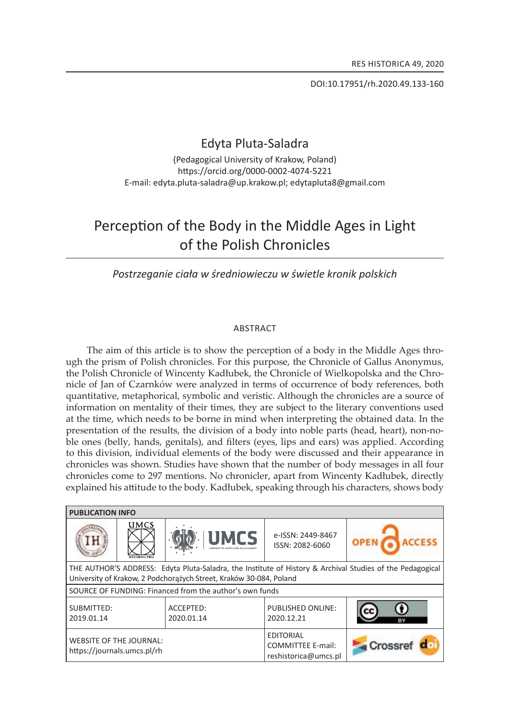DOI:10.17951/rh.2020.49.133-160

# edyta pluta-saladra

(Pedagogical University of Krakow, Poland) https://orcid.org/0000-0002-4074-5221 E-mail: edyta.pluta-saladra@up.krakow.pl; edytapluta8@gmail.com

# Perception of the Body in the Middle Ages in Light of the polish chronicles

*Postrzeganie ciała w średniowieczu w świetle kronik polskich*

### **ABSTRACT**

The aim of this article is to show the perception of a body in the Middle Ages through the prism of Polish chronicles. For this purpose, the Chronicle of Gallus Anonymus, the Polish Chronicle of wincenty kadłubek, the Chronicle of wielkopolska and the Chronicle of Jan of Czarnków were analyzed in terms of occurrence of body references, both quantitative, metaphorical, symbolic and veristic. although the chronicles are a source of information on mentality of their times, they are subject to the literary conventions used at the time, which needs to be borne in mind when interpreting the obtained data. in the presentation of the results, the division of a body into noble parts (head, heart), non-noble ones (belly, hands, genitals), and filters (eyes, lips and ears) was applied. According to this division, individual elements of the body were discussed and their appearance in chronicles was shown. studies have shown that the number of body messages in all four chronicles come to 297 mentions. no chronicler, apart from wincenty kadłubek, directly explained his attitude to the body. kadłubek, speaking through his characters, shows body

| <b>PUBLICATION INFO</b>                                                                                                                                                         |             |                         |                                                                      |         |
|---------------------------------------------------------------------------------------------------------------------------------------------------------------------------------|-------------|-------------------------|----------------------------------------------------------------------|---------|
|                                                                                                                                                                                 | <b>UMCS</b> | <b>UMCS</b>             | e-ISSN: 2449-8467<br>ISSN: 2082-6060                                 |         |
| THE AUTHOR'S ADDRESS: Edyta Pluta-Saladra, the Institute of History & Archival Studies of the Pedagogical<br>University of Krakow, 2 Podchorażych Street, Kraków 30-084, Poland |             |                         |                                                                      |         |
| SOURCE OF FUNDING: Financed from the author's own funds                                                                                                                         |             |                         |                                                                      |         |
| SUBMITTED:<br>2019.01.14                                                                                                                                                        |             | ACCEPTED:<br>2020.01.14 | <b>PUBLISHED ONLINE:</b><br>2020.12.21                               |         |
| <b>WEBSITE OF THE JOURNAL:</b><br>https://journals.umcs.pl/rh                                                                                                                   |             |                         | <b>EDITORIAL</b><br><b>COMMITTEE E-mail:</b><br>reshistorica@umcs.pl | Crossre |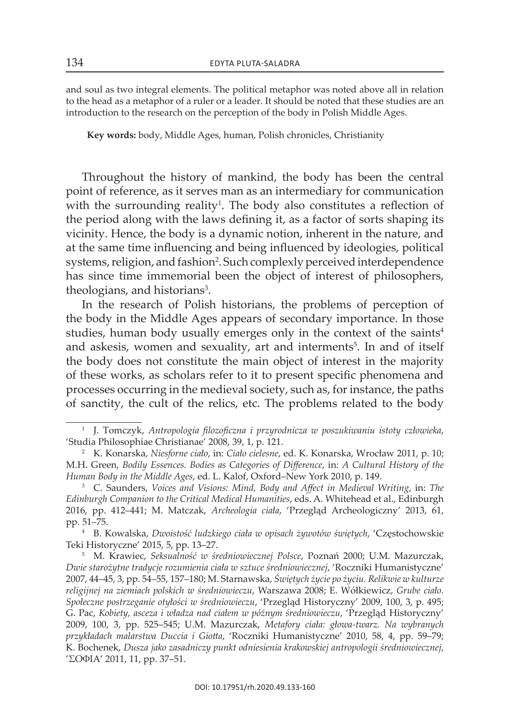and soul as two integral elements. the political metaphor was noted above all in relation to the head as a metaphor of a ruler or a leader. it should be noted that these studies are an introduction to the research on the perception of the body in Polish Middle Ages.

**Key words:** body, Middle ages, human, Polish chronicles, christianity

throughout the history of mankind, the body has been the central point of reference, as it serves man as an intermediary for communication with the surrounding reality<sup>1</sup>. The body also constitutes a reflection of the period along with the laws defining it, as a factor of sorts shaping its vicinity. hence, the body is a dynamic notion, inherent in the nature, and at the same time influencing and being influenced by ideologies, political systems, religion, and fashion<sup>2</sup>. Such complexly perceived interdependence has since time immemorial been the object of interest of philosophers, theologians, and historians<sup>3</sup>.

In the research of Polish historians, the problems of perception of the body in the Middle Ages appears of secondary importance. In those studies, human body usually emerges only in the context of the saints<sup>4</sup> and askesis, women and sexuality, art and interments<sup>5</sup>. In and of itself the body does not constitute the main object of interest in the majority of these works, as scholars refer to it to present specific phenomena and processes occurring in the medieval society, such as, for instance, the paths of sanctity, the cult of the relics, etc. the problems related to the body

<sup>1</sup> J. tomczyk, *Antropologia filozoficzna i przyrodnicza w poszukiwaniu istoty człowieka*, 'studia Philosophiae christianae' 2008, 39, 1, p. 121.

<sup>2</sup> K. Konarska, *Niesforne ciało*, in: *Ciało cielesne*, ed. k. konarska, wrocław 2011, p. 10; M.h. Green, *Bodily Essences. Bodies as Categories of Difference*, in: *A Cultural History of the Human Body in the Middle Ages, ed. L. Kalof, Oxford–New York 2010, p. 149.* 

<sup>3</sup> c. saunders, *Voices and Visions: Mind, Body and Affect in Medieval Writing*, in: *The*  Edinburgh Companion to the Critical Medical Humanities, eds. A. Whitehead et al., Edinburgh 2016, pp. 412–441; M. Matczak, *Archeologia ciała*, 'Przegląd archeologiczny' 2013, 61, pp. 51–75.

<sup>4</sup> B. Kowalska, *Dwoistość ludzkiego ciała w opisach żywotów świętych*, 'Częstochowskie Teki Historyczne' 2015, 5, pp. 13–27.

<sup>&</sup>lt;sup>5</sup> M. Krawiec, *Seksualność w średniowiecznej Polsce*, Poznań 2000; U.M. Mazurczak, *Dwie starożytne tradycje rozumienia ciała w sztuce średniowiecznej*, 'roczniki humanistyczne' 2007, 44–45, 3, pp. 54–55, 157–180; M. starnawska, *Świętych życie po życiu. Relikwie w kulturze religijnej na ziemiach polskich w średniowieczu*, Warszawa 2008; e. wółkiewicz, *Grube ciało. Społeczne postrzeganie otyłości w średniowieczu*, 'Przegląd Historyczny' 2009, 100, 3, p. 495; G. Pac, *Kobiety, asceza i władza nad ciałem w późnym średniowieczu*, 'Przegląd Historyczny' 2009, 100, 3, pp. 525–545; u.M. Mazurczak, *Metafory ciała: głowa-twarz. Na wybranych*  przykładach malarstwa Duccia i Giotta, 'Roczniki Humanistyczne' 2010, 58, 4, pp. 59–79; K. Bochenek, *Dusza jako zasadniczy punkt odniesienia krakowskiej antropologii średniowiecznej*, 'ΣΟΦΙa' 2011, 11, pp. 37–51.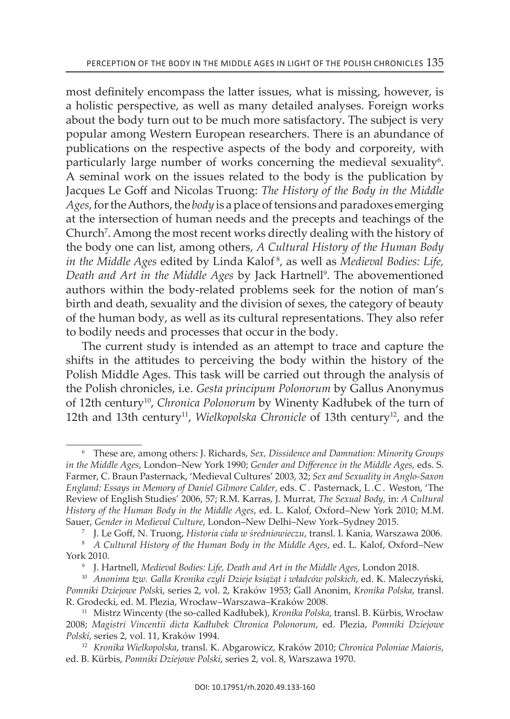most definitely encompass the latter issues, what is missing, however, is a holistic perspective, as well as many detailed analyses. Foreign works about the body turn out to be much more satisfactory. The subject is very popular among Western European researchers. There is an abundance of publications on the respective aspects of the body and corporeity, with particularly large number of works concerning the medieval sexuality<sup>6</sup>. a seminal work on the issues related to the body is the publication by Jacques Le Goff and Nicolas Truong: *The History of the Body in the Middle Ages*, for the Authors, the *body* is a place of tensions and paradoxes emerging at the intersection of human needs and the precepts and teachings of the Church<sup>7</sup>. Among the most recent works directly dealing with the history of the body one can list, among others, *A Cultural History of the Human Body in the Middle Ages* edited by linda Kalof 8, as well as *Medieval Bodies: Life,*  Death and Art in the Middle Ages by Jack Hartnell<sup>9</sup>. The abovementioned authors within the body-related problems seek for the notion of man's birth and death, sexuality and the division of sexes, the category of beauty of the human body, as well as its cultural representations. They also refer to bodily needs and processes that occur in the body.

The current study is intended as an attempt to trace and capture the shifts in the attitudes to perceiving the body within the history of the Polish Middle Ages. This task will be carried out through the analysis of the Polish chronicles, i.e. *Gesta principum Polonorum* by Gallus Anonymus of 12th century10, *Chronica Polonorum* by winenty kadłubek of the turn of 12th and 13th century<sup>11</sup>, *Wielkopolska Chronicle* of 13th century<sup>12</sup>, and the

<sup>7</sup>J. Le Goff, n. truong, *Historia ciała w średniowieczu*, transl. i. Kania, Warszawa 2006.

<sup>&</sup>lt;sup>6</sup> These are, among others: J. Richards, *Sex*, Dissidence and Damnation: Minority Groups *in the Middle Ages*, London–New York 1990; *Gender and Difference in the Middle Ages*, eds. S. Farmer, c. Braun Pasternack, 'Medieval cultures' 2003, 32; *Sex and Sexuality in Anglo-Saxon*  England: Essays in Memory of Daniel Gilmore Calder, eds. C. Pasternack, L.C. Weston, 'The Review of English Studies' 2006, 57; R.M. Karras, J. Murrat, *The Sexual Body*, in: *A Cultural History of the Human Body in the Middle Ages, ed. L. Kalof, Oxford–New York 2010; M.M.* Sauer, *Gender in Medieval Culture*, London-New Delhi-New York-Sydney 2015.

<sup>&</sup>lt;sup>8</sup> A Cultural History of the Human Body in the Middle Ages, ed. L. Kalof, Oxford–New york 2010.

<sup>&</sup>lt;sup>9</sup> J. Hartnell, Medieval Bodies: Life, Death and Art in the Middle Ages, London 2018.

<sup>&</sup>lt;sup>10</sup> Anonima tzw. Galla Kronika czyli Dzieje książąt i władców polskich, ed. K. Maleczyński, *Pomniki Dziejowe Polsk*i, series 2, vol. 2, kraków 1953; Gall anonim, *Kronika Polska*, transl. r. Grodecki, ed. M. Plezia, wrocław–Warszawa–Kraków 2008.

<sup>11</sup> Mistrz wincenty (the so-called kadłubek), *Kronika Polska*, transl. B. kürbis, wrocław 2008; *Magistri Vincentii dicta Kadłubek Chronica Polonorum*, ed. Plezia, *Pomniki Dziejowe Polski*, series 2, vol. 11, kraków 1994.

<sup>12</sup> *Kronika Wielkopolska*, transl. k. abgarowicz, kraków 2010; *Chronica Poloniae Maioris*, ed. B. Kürbis, *Pomniki Dziejowe Polski*, series 2, vol. 8, Warszawa 1970.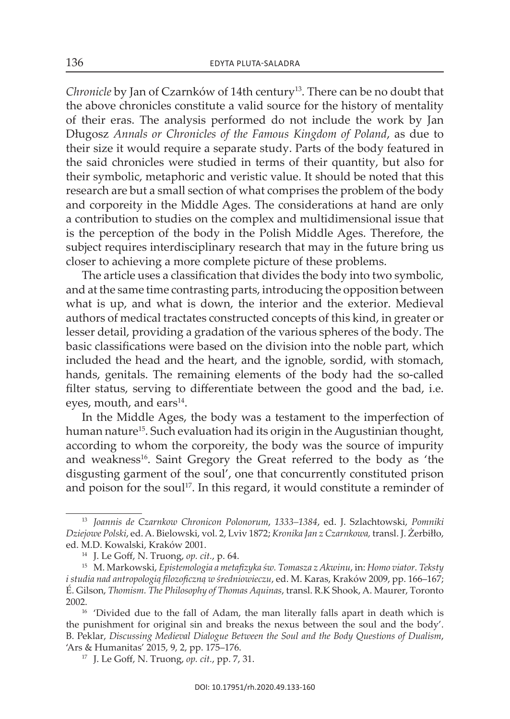*Chronicle* by Jan of Czarnków of 14th century<sup>13</sup>. There can be no doubt that the above chronicles constitute a valid source for the history of mentality of their eras. the analysis performed do not include the work by Jan Długosz Annals or Chronicles of the Famous Kingdom of Poland, as due to their size it would require a separate study. Parts of the body featured in the said chronicles were studied in terms of their quantity, but also for their symbolic, metaphoric and veristic value. it should be noted that this research are but a small section of what comprises the problem of the body and corporeity in the Middle Ages. The considerations at hand are only a contribution to studies on the complex and multidimensional issue that is the perception of the body in the Polish Middle Ages. Therefore, the subject requires interdisciplinary research that may in the future bring us closer to achieving a more complete picture of these problems.

the article uses a classification that divides the body into two symbolic, and at the same time contrasting parts, introducing the opposition between what is up, and what is down, the interior and the exterior. Medieval authors of medical tractates constructed concepts of this kind, in greater or lesser detail, providing a gradation of the various spheres of the body. The basic classifications were based on the division into the noble part, which included the head and the heart, and the ignoble, sordid, with stomach, hands, genitals. The remaining elements of the body had the so-called filter status, serving to differentiate between the good and the bad, i.e. eyes, mouth, and ears $^{14}$ .

In the Middle Ages, the body was a testament to the imperfection of human nature<sup>15</sup>. Such evaluation had its origin in the Augustinian thought, according to whom the corporeity, the body was the source of impurity and weakness<sup>16</sup>. Saint Gregory the Great referred to the body as 'the disgusting garment of the soul', one that concurrently constituted prison and poison for the soul<sup>17</sup>. In this regard, it would constitute a reminder of

<sup>13</sup> *Joannis de Czarnkow Chronicon Polonorum*, *1333–1384*, ed. J. szlachtowski, *Pomniki Dziejowe Polski*, ed. a. Bielowski, vol. 2, lviv 1872; *Kronika Jan z Czarnkowa,* transl. J. Żerbiłło, ed. M.D. Kowalski, Kraków 2001.

<sup>14</sup> J. Le Goff, n. truong, *op. cit.*, p. 64.

<sup>15</sup> M. Markowski, *Epistemologia a metafizyka św. Tomasza z Akwinu*, in: *Homo viator. Teksty i studia nad antropologią filozoficzną w średniowieczu*, ed. M. Karas, Kraków 2009, pp. 166–167; É. Gilson, *Thomism. The Philosophy of Thomas Aquinas*, transl. R.K Shook, A. Maurer, Toronto 2002.

 $16$  'Divided due to the fall of Adam, the man literally falls apart in death which is the punishment for original sin and breaks the nexus between the soul and the body'. B. Peklar, *Discussing Medieval Dialogue Between the Soul and the Body Questions of Dualism*, 'Ars & Humanitas' 2015, 9, 2, pp. 175-176.

<sup>17</sup> J. Le Goff, n. truong, *op. cit.*, pp. 7, 31.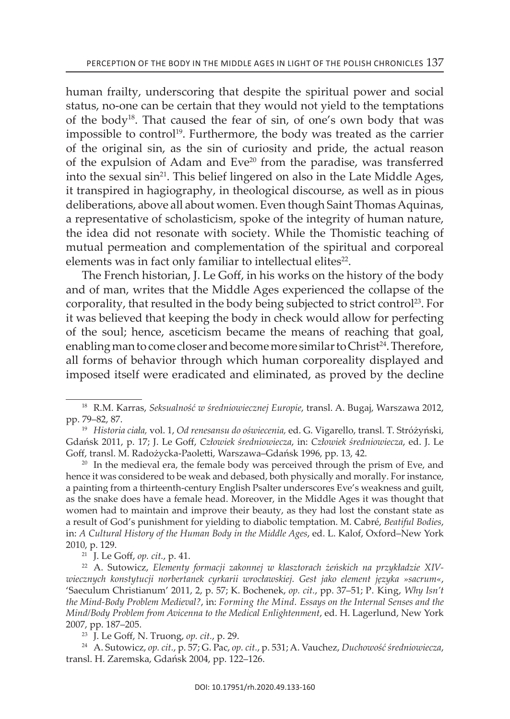human frailty, underscoring that despite the spiritual power and social status, no-one can be certain that they would not yield to the temptations of the body<sup>18</sup>. That caused the fear of sin, of one's own body that was impossible to control<sup>19</sup>. Furthermore, the body was treated as the carrier of the original sin, as the sin of curiosity and pride, the actual reason of the expulsion of Adam and Eve<sup>20</sup> from the paradise, was transferred into the sexual sin<sup>21</sup>. This belief lingered on also in the Late Middle Ages, it transpired in hagiography, in theological discourse, as well as in pious deliberations, above all about women. Even though Saint Thomas Aquinas, a representative of scholasticism, spoke of the integrity of human nature, the idea did not resonate with society. While the Thomistic teaching of mutual permeation and complementation of the spiritual and corporeal elements was in fact only familiar to intellectual elites<sup>22</sup>.

The French historian, J. Le Goff, in his works on the history of the body and of man, writes that the Middle Ages experienced the collapse of the corporality, that resulted in the body being subjected to strict control<sup>23</sup>. For it was believed that keeping the body in check would allow for perfecting of the soul; hence, asceticism became the means of reaching that goal, enabling man to come closer and become more similar to Christ<sup>24</sup>. Therefore, all forms of behavior through which human corporeality displayed and imposed itself were eradicated and eliminated, as proved by the decline

 $20$  In the medieval era, the female body was perceived through the prism of Eve, and hence it was considered to be weak and debased, both physically and morally. For instance, a painting from a thirteenth-century English Psalter underscores Eve's weakness and guilt, as the snake does have a female head. Moreover, in the Middle ages it was thought that women had to maintain and improve their beauty, as they had lost the constant state as a result of God's punishment for yielding to diabolic temptation. M. cabré, *Beatiful Bodies*, in: *A Cultural History of the Human Body in the Middle Ages*, ed. l. Kalof, oxford–new york 2010, p. 129.

<sup>21</sup> J. Le Goff, *op. cit.*, p. 41.

<sup>22</sup> A. Sutowicz, Elementy formacji zakonnej w klasztorach żeńskich na przykładzie XIV*wiecznych konstytucji norbertanek cyrkarii wrocławskiej. Gest jako element języka »sacrum«*, 'saeculum christianum' 2011, 2, p. 57; K. Bochenek, *op. cit.*, pp. 37–51; P. King, *Why Isn't the Mind-Body Problem Medieval?*, in: *Forming the Mind. Essays on the Internal Senses and the Mind/Body Problem from Avicenna to the Medical Enlightenment, ed. H. Lagerlund, New York* 2007, pp. 187–205.

<sup>23</sup> J. Le Goff, n. truong, *op. cit.*, p. 29.

<sup>24</sup> a. sutowicz, *op. cit.*, p. 57; G. Pac, *op. cit.*, p. 531; a. Vauchez, *Duchowość średniowiecza*, transl. H. zaremska, Gdańsk 2004, pp. 122–126.

<sup>&</sup>lt;sup>18</sup> R.M. Karras, *Seksualność w średniowiecznej Europie*, transl. A. Bugaj, Warszawa 2012, pp. 79–82, 87.

<sup>&</sup>lt;sup>19</sup> Historia ciała, vol. 1, Od renesansu do oświecenia, ed. G. Vigarello, transl. T. Stróżyński, Gdańsk 2011, p. 17; J. Le Goff, *Człowiek średniowiecza*, in: *Człowiek średniowiecza*, ed. J. le Goff, transl. M. Radożycka-Paoletti, Warszawa-Gdańsk 1996, pp. 13, 42.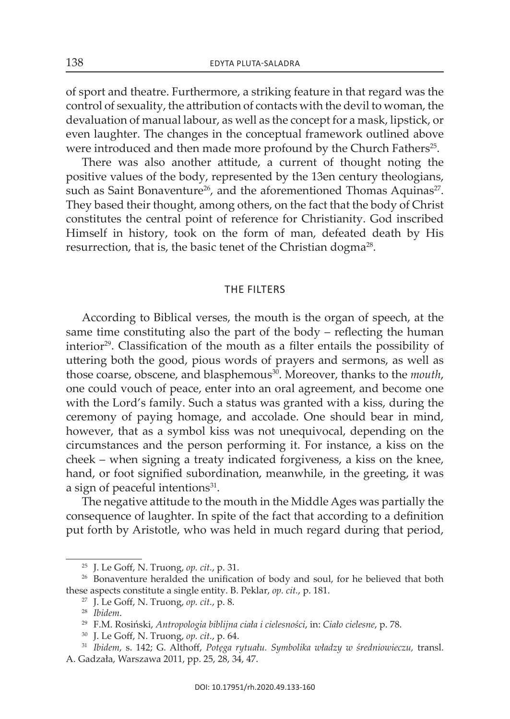of sport and theatre. Furthermore, a striking feature in that regard was the control of sexuality, the attribution of contacts with the devil to woman, the devaluation of manual labour, as well as the concept for a mask, lipstick, or even laughter. The changes in the conceptual framework outlined above were introduced and then made more profound by the Church Fathers<sup>25</sup>.

There was also another attitude, a current of thought noting the positive values of the body, represented by the 13en century theologians, such as Saint Bonaventure<sup>26</sup>, and the aforementioned Thomas Aquinas<sup>27</sup>. they based their thought, among others, on the fact that the body of christ constitutes the central point of reference for christianity. God inscribed Himself in history, took on the form of man, defeated death by His resurrection, that is, the basic tenet of the Christian dogma<sup>28</sup>.

## the filters

according to Biblical verses, the mouth is the organ of speech, at the same time constituting also the part of the body – reflecting the human interior<sup>29</sup>. Classification of the mouth as a filter entails the possibility of uttering both the good, pious words of prayers and sermons, as well as those coarse, obscene, and blasphemous<sup>30</sup>. Moreover, thanks to the *mouth*, one could vouch of peace, enter into an oral agreement, and become one with the Lord's family. Such a status was granted with a kiss, during the ceremony of paying homage, and accolade. One should bear in mind, however, that as a symbol kiss was not unequivocal, depending on the circumstances and the person performing it. For instance, a kiss on the cheek – when signing a treaty indicated forgiveness, a kiss on the knee, hand, or foot signified subordination, meanwhile, in the greeting, it was a sign of peaceful intentions<sup>31</sup>.

The negative attitude to the mouth in the Middle Ages was partially the consequence of laughter. in spite of the fact that according to a definition put forth by Aristotle, who was held in much regard during that period,

<sup>25</sup> J. Le Goff, n. truong, *op. cit.*, p. 31.

<sup>&</sup>lt;sup>26</sup> Bonaventure heralded the unification of body and soul, for he believed that both these aspects constitute a single entity. B. Peklar, *op. cit.*, p. 181.

<sup>27</sup> J. Le Goff, n. truong, *op. cit.*, p. 8.

<sup>28</sup> *Ibidem*.

<sup>29</sup>F.M. rosiński, *Antropologia biblijna ciała i cielesności*, in: *Ciało cielesne*, p. 78.

<sup>30</sup> J. Le Goff, n. truong, *op. cit.*, p. 64.

<sup>31</sup> *Ibidem*, s. 142; G. althoff, *Potęga rytuału. Symbolika władzy w średniowieczu,* transl. a. Gadzała, warszawa 2011, pp. 25, 28, 34, 47.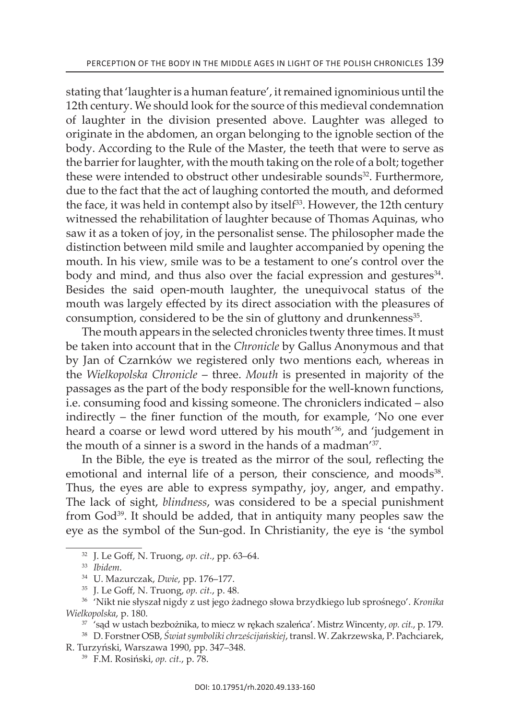stating that 'laughter is a human feature', it remained ignominious until the 12th century. We should look for the source of this medieval condemnation of laughter in the division presented above. laughter was alleged to originate in the abdomen, an organ belonging to the ignoble section of the body. According to the Rule of the Master, the teeth that were to serve as the barrier for laughter, with the mouth taking on the role of a bolt; together these were intended to obstruct other undesirable sounds<sup>32</sup>. Furthermore, due to the fact that the act of laughing contorted the mouth, and deformed the face, it was held in contempt also by itself<sup>33</sup>. However, the 12th century witnessed the rehabilitation of laughter because of Thomas Aquinas, who saw it as a token of joy, in the personalist sense. The philosopher made the distinction between mild smile and laughter accompanied by opening the mouth. in his view, smile was to be a testament to one's control over the body and mind, and thus also over the facial expression and gestures<sup>34</sup>. Besides the said open-mouth laughter, the unequivocal status of the mouth was largely effected by its direct association with the pleasures of consumption, considered to be the sin of gluttony and drunkenness<sup>35</sup>.

The mouth appears in the selected chronicles twenty three times. It must be taken into account that in the *Chronicle* by Gallus Anonymous and that by Jan of Czarnków we registered only two mentions each, whereas in the *Wielkopolska Chronicle* – three. *Mouth* is presented in majority of the passages as the part of the body responsible for the well-known functions, i.e. consuming food and kissing someone. The chroniclers indicated – also indirectly – the finer function of the mouth, for example, 'No one ever heard a coarse or lewd word uttered by his mouth<sup>'36</sup>, and 'judgement in the mouth of a sinner is a sword in the hands of a madman<sup>'37</sup>.

In the Bible, the eye is treated as the mirror of the soul, reflecting the emotional and internal life of a person, their conscience, and moods<sup>38</sup>. Thus, the eyes are able to express sympathy, joy, anger, and empathy. the lack of sight, *blindness*, was considered to be a special punishment from God<sup>39</sup>. It should be added, that in antiquity many peoples saw the eye as the symbol of the sun-god. in christianity, the eye is 'the symbol

<sup>32</sup> J. Le Goff, n. truong, *op. cit.*, pp. 63–64.

<sup>33</sup> *Ibidem*.

<sup>34</sup> u. Mazurczak, *Dwie*, pp. 176–177.

<sup>35</sup> J. Le Goff, n. truong, *op. cit.*, p. 48.

<sup>&</sup>lt;sup>36</sup> 'Nikt nie słyszał nigdy z ust jego żadnego słowa brzydkiego lub sprośnego'. Kronika *Wielkopolska*, p. 180.

<sup>37</sup> 'sąd w ustach bezbożnika, to miecz w rękach szaleńca'. Mistrz Wincenty, *op. cit.*, p. 179.

<sup>38</sup> D. Forstner osB, *Świat symboliki chrześcijańskiej*, transl. W. zakrzewska, P. Pachciarek,

R. Turzyński, Warszawa 1990, pp. 347-348.

<sup>39</sup> F.M. rosiński, *op. cit.*, p. 78.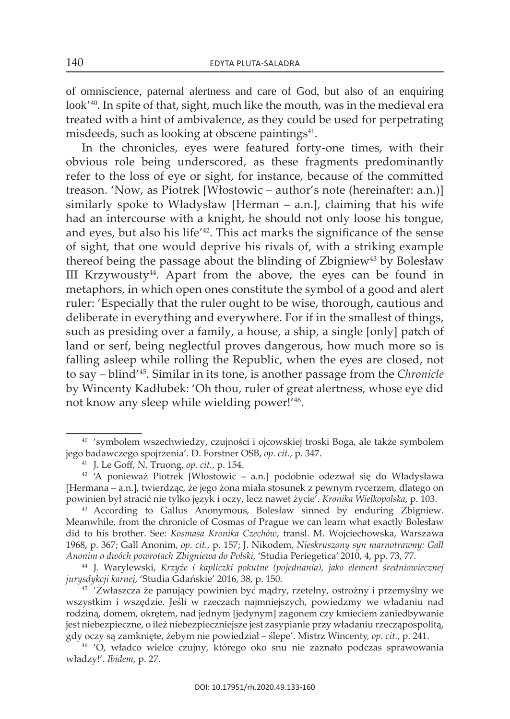of omniscience, paternal alertness and care of God, but also of an enquiring look<sup>'40</sup>. In spite of that, sight, much like the mouth, was in the medieval era treated with a hint of ambivalence, as they could be used for perpetrating misdeeds, such as looking at obscene paintings<sup>41</sup>.

In the chronicles, eyes were featured forty-one times, with their obvious role being underscored, as these fragments predominantly refer to the loss of eye or sight, for instance, because of the committed treason. 'Now, as Piotrek [Włostowic – author's note (hereinafter: a.n.)] similarly spoke to władysław [Herman – a.n.], claiming that his wife had an intercourse with a knight, he should not only loose his tongue, and eyes, but also his life<sup>'42</sup>. This act marks the significance of the sense of sight, that one would deprive his rivals of, with a striking example thereof being the passage about the blinding of Zbigniew<sup>43</sup> by Bolesław III Krzywousty $44$ . Apart from the above, the eyes can be found in metaphors, in which open ones constitute the symbol of a good and alert ruler: 'Especially that the ruler ought to be wise, thorough, cautious and deliberate in everything and everywhere. For if in the smallest of things, such as presiding over a family, a house, a ship, a single [only] patch of land or serf, being neglectful proves dangerous, how much more so is falling asleep while rolling the Republic, when the eyes are closed, not to say – blind'45. similar in its tone, is another passage from the *Chronicle* by wincenty kadłubek: 'Oh thou, ruler of great alertness, whose eye did not know any sleep while wielding power!'46.

<sup>40</sup> 'symbolem wszechwiedzy, czujności i ojcowskiej troski Boga, ale także symbolem jego badawczego spojrzenia'. D. Forstner osB, *op. cit.*, p. 347.

<sup>41</sup> J. Le Goff, n. truong, *op. cit.*, p. 154.

<sup>&</sup>lt;sup>42</sup> 'A ponieważ Piotrek [Włostowic – a.n.] podobnie odezwał się do Władysława [Hermana – a.n.], twierdząc, że jego żona miała stosunek z pewnym rycerzem, dlatego on powinien był stracić nie tylko język i oczy, lecz nawet życie'. *Kronika Wielkopolska*, p. 103.

<sup>&</sup>lt;sup>43</sup> According to Gallus Anonymous, Bolesław sinned by enduring Zbigniew. Meanwhile, from the chronicle of Cosmas of Prague we can learn what exactly Bolesław did to his brother. see: *Kosmasa Kronika Czechów*, transl. M. Wojciechowska, Warszawa 1968, p. 367; Gall anonim, *op. cit.*, p. 157; J. nikodem, *Nieskruszony syn marnotrawny: Gall Anonim o dwóch powrotach Zbigniewa do Polski*, 'studia Periegetica' 2010, 4, pp. 73, 77.

<sup>44</sup> J. Warylewski, *Krzyże i kapliczki pokutne (pojednania), jako element średniowiecznej jurysdykcji karnej*, 'studia Gdańskie' 2016, 38, p. 150.

<sup>&</sup>lt;sup>45</sup> 'Zwłaszcza że panujący powinien być mądry, rzetelny, ostrożny i przemyślny we wszystkim i wszędzie. Jeśli w rzeczach najmniejszych, powiedzmy we władaniu nad rodziną, domem, okrętem, nad jednym [jedynym] zagonem czy kmieciem zaniedbywanie jest niebezpieczne, o ileż niebezpieczniejsze jest zasypianie przy władaniu rzecząpospolitą, gdy oczy są zamknięte, żebym nie powiedział – ślepe'. Mistrz Wincenty, *op. cit.*, p. 241.

<sup>46</sup> 'O, władco wielce czujny, którego oko snu nie zaznało podczas sprawowania władzy!'. *Ibidem*, p. 27.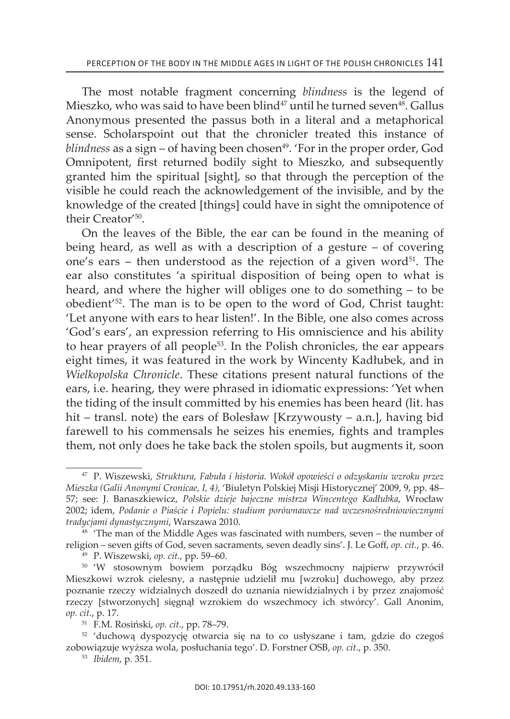the most notable fragment concerning *blindness* is the legend of Mieszko, who was said to have been blind<sup>47</sup> until he turned seven<sup>48</sup>. Gallus anonymous presented the passus both in a literal and a metaphorical sense. scholarspoint out that the chronicler treated this instance of *blindness* as a sign – of having been chosen<sup>49</sup>. 'For in the proper order, God Omnipotent, first returned bodily sight to Mieszko, and subsequently granted him the spiritual [sight], so that through the perception of the visible he could reach the acknowledgement of the invisible, and by the knowledge of the created [things] could have in sight the omnipotence of their Creator<sup>'50</sup>.

on the leaves of the Bible, the ear can be found in the meaning of being heard, as well as with a description of a gesture – of covering one's ears – then understood as the rejection of a given word $51$ . The ear also constitutes 'a spiritual disposition of being open to what is heard, and where the higher will obliges one to do something – to be obedient<sup>'52</sup>. The man is to be open to the word of God, Christ taught: 'Let anyone with ears to hear listen!'. In the Bible, one also comes across 'God's ears', an expression referring to His omniscience and his ability to hear prayers of all people<sup>53</sup>. In the Polish chronicles, the ear appears eight times, it was featured in the work by wincenty kadłubek, and in *Wielkopolska Chronicle*. These citations present natural functions of the ears, *i.e.* hearing, they were phrased in idiomatic expressions: 'Yet when the tiding of the insult committed by his enemies has been heard (lit. has hit – transl. note) the ears of Bolesław [krzywousty – a.n.], having bid farewell to his commensals he seizes his enemies, fights and tramples them, not only does he take back the stolen spoils, but augments it, soon

<sup>47</sup> P. Wiszewski, *Struktura, Fabuła i historia. Wokół opowieści o odzyskaniu wzroku przez Mieszka (Galii Anonymi Cronicae, I, 4)*, 'Biuletyn Polskiej Misji historycznej' 2009, 9, pp. 48– 57; see: J. Banaszkiewicz, *Polskie dzieje bajeczne mistrza Wincentego Kadłubka*, wrocław 2002; idem, *Podanie o Piaście i Popielu: studium porównawcze nad wczesnośredniowiecznymi tradycjami dynastycznymi*, Warszawa 2010.

 $48$  'The man of the Middle Ages was fascinated with numbers, seven – the number of religion – seven gifts of God, seven sacraments, seven deadly sins'. J. Le Goff, *op. cit.*, p. 46.

<sup>49</sup> P. Wiszewski, *op. cit.*, pp. 59–60.

<sup>50</sup> 'w stosownym bowiem porządku Bóg wszechmocny najpierw przywrócił Mieszkowi wzrok cielesny, a następnie udzielił mu [wzroku] duchowego, aby przez poznanie rzeczy widzialnych doszedł do uznania niewidzialnych i by przez znajomość rzeczy [stworzonych] sięgnął wzrokiem do wszechmocy ich stwórcy'. Gall anonim, *op. cit.*, p. 17.

<sup>51</sup> F.M. rosiński, *op. cit.*, pp. 78–79.

<sup>52</sup> 'duchową dyspozycję otwarcia się na to co usłyszane i tam, gdzie do czegoś zobowiązuje wyższa wola, posłuchania tego'. D. Forstner OSB, op. cit., p. 350.

<sup>53</sup> *Ibidem*, p. 351.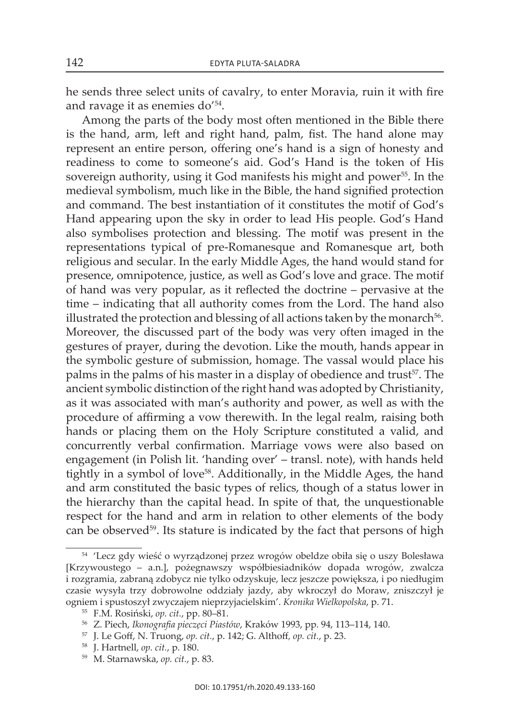he sends three select units of cavalry, to enter Moravia, ruin it with fire and ravage it as enemies do'54.

among the parts of the body most often mentioned in the Bible there is the hand, arm, left and right hand, palm, fist. The hand alone may represent an entire person, offering one's hand is a sign of honesty and readiness to come to someone's aid. God's Hand is the token of His sovereign authority, using it God manifests his might and power<sup>55</sup>. In the medieval symbolism, much like in the Bible, the hand signified protection and command. The best instantiation of it constitutes the motif of God's Hand appearing upon the sky in order to lead His people. God's Hand also symbolises protection and blessing. the motif was present in the representations typical of pre-Romanesque and Romanesque art, both religious and secular. In the early Middle Ages, the hand would stand for presence, omnipotence, justice, as well as God's love and grace. the motif of hand was very popular, as it reflected the doctrine – pervasive at the time – indicating that all authority comes from the Lord. The hand also illustrated the protection and blessing of all actions taken by the monarch<sup>56</sup>. Moreover, the discussed part of the body was very often imaged in the gestures of prayer, during the devotion. like the mouth, hands appear in the symbolic gesture of submission, homage. The vassal would place his palms in the palms of his master in a display of obedience and trust<sup>57</sup>. The ancient symbolic distinction of the right hand was adopted by christianity, as it was associated with man's authority and power, as well as with the procedure of affirming a vow therewith. in the legal realm, raising both hands or placing them on the holy scripture constituted a valid, and concurrently verbal confirmation. Marriage vows were also based on engagement (in Polish lit. 'handing over' – transl. note), with hands held tightly in a symbol of love<sup>58</sup>. Additionally, in the Middle Ages, the hand and arm constituted the basic types of relics, though of a status lower in the hierarchy than the capital head. in spite of that, the unquestionable respect for the hand and arm in relation to other elements of the body can be observed<sup>59</sup>. Its stature is indicated by the fact that persons of high

<sup>54</sup> 'Lecz gdy wieść o wyrządzonej przez wrogów obeldze obiła się o uszy Bolesława [krzywoustego – a.n.], pożegnawszy współbiesiadników dopada wrogów, zwalcza i rozgramia, zabraną zdobycz nie tylko odzyskuje, lecz jeszcze powiększa, i po niedługim czasie wysyła trzy dobrowolne oddziały jazdy, aby wkroczył do Moraw, zniszczył je ogniem i spustoszył zwyczajem nieprzyjacielskim'. *Kronika Wielkopolska*, p. 71.

<sup>55</sup> F.M. rosiński, *op. cit.*, pp. 80–81.

<sup>56</sup> z. Piech, *Ikonografia pieczęci Piastów*, Kraków 1993, pp. 94, 113–114, 140.

<sup>57</sup> J. Le Goff, n. truong, *op. cit.*, p. 142; G. althoff*, op. cit.*, p. 23.

<sup>58</sup> J. hartnell, *op. cit.*, p. 180.

<sup>59</sup> M. starnawska, *op. cit.*, p. 83.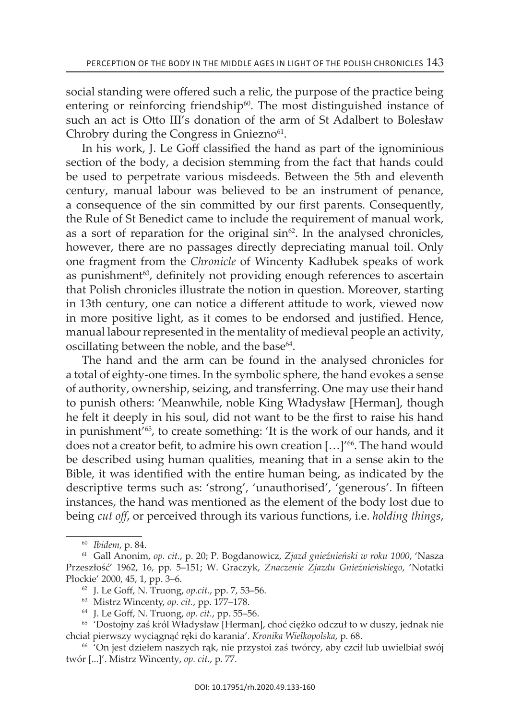social standing were offered such a relic, the purpose of the practice being entering or reinforcing friendship $60$ . The most distinguished instance of such an act is Otto III's donation of the arm of St Adalbert to Bolesław Chrobry during the Congress in Gniezno<sup>61</sup>.

in his work, J. Le Goff classified the hand as part of the ignominious section of the body, a decision stemming from the fact that hands could be used to perpetrate various misdeeds. Between the 5th and eleventh century, manual labour was believed to be an instrument of penance, a consequence of the sin committed by our first parents. Consequently, the Rule of St Benedict came to include the requirement of manual work, as a sort of reparation for the original  $sin^{62}$ . In the analysed chronicles, however, there are no passages directly depreciating manual toil. Only one fragment from the *Chronicle* of wincenty kadłubek speaks of work as punishment $63$ , definitely not providing enough references to ascertain that Polish chronicles illustrate the notion in question. Moreover, starting in 13th century, one can notice a different attitude to work, viewed now in more positive light, as it comes to be endorsed and justified. Hence, manual labour represented in the mentality of medieval people an activity, oscillating between the noble, and the base $64$ .

The hand and the arm can be found in the analysed chronicles for a total of eighty-one times. in the symbolic sphere, the hand evokes a sense of authority, ownership, seizing, and transferring. One may use their hand to punish others: 'Meanwhile, noble king władysław [Herman], though he felt it deeply in his soul, did not want to be the first to raise his hand in punishment'65, to create something: 'it is the work of our hands, and it does not a creator befit, to admire his own creation [...]<sup>166</sup>. The hand would be described using human qualities, meaning that in a sense akin to the Bible, it was identified with the entire human being, as indicated by the descriptive terms such as: 'strong', 'unauthorised', 'generous'. in fifteen instances, the hand was mentioned as the element of the body lost due to being *cut off*, or perceived through its various functions, i.e. *holding things*,

<sup>60</sup> *Ibidem*, p. 84.

<sup>&</sup>lt;sup>61</sup> Gall Anonim, op. cit., p. 20; P. Bogdanowicz, Zjazd gnieźnieński w roku 1000, 'Nasza Przeszłość' 1962, 16, pp. 5–151; W. Graczyk, *Znaczenie Zjazdu Gnieźnieńskiego*, 'notatki Płockie' 2000, 45, 1, pp. 3–6.<br><sup>62</sup> J. Le Goff, N. Truong, *op.cit.*, pp. 7, 53–56.

<sup>63</sup> Mistrz Wincenty, *op. cit.*, pp. 177–178.

<sup>64</sup> J. Le Goff, n. truong, *op. cit.*, pp. 55–56.

<sup>&</sup>lt;sup>65</sup> 'Dostojny zaś król Władysław [Herman], choć ciężko odczuł to w duszy, jednak nie chciał pierwszy wyciągnąć ręki do karania'. *Kronika Wielkopolska*, p. 68.

<sup>66</sup> 'On jest dziełem naszych rąk, nie przystoi zaś twórcy, aby czcił lub uwielbiał swój twór [...]'. Mistrz Wincenty, *op. cit.*, p. 77.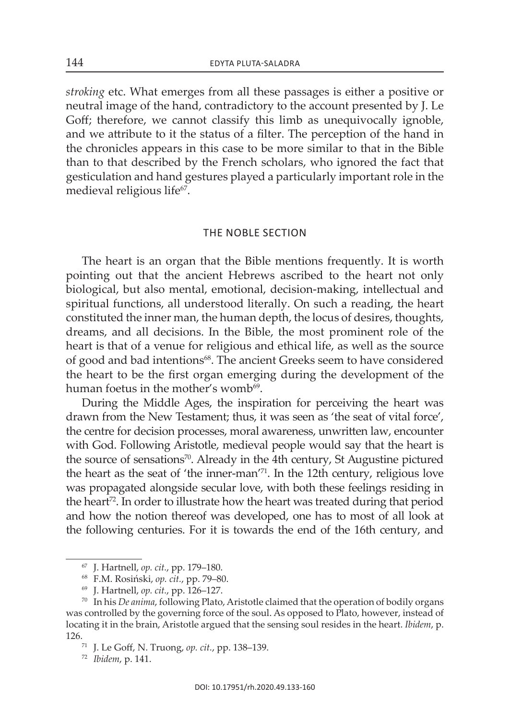*stroking* etc. What emerges from all these passages is either a positive or neutral image of the hand, contradictory to the account presented by J. le Goff; therefore, we cannot classify this limb as unequivocally ignoble, and we attribute to it the status of a filter. The perception of the hand in the chronicles appears in this case to be more similar to that in the Bible than to that described by the French scholars, who ignored the fact that gesticulation and hand gestures played a particularly important role in the medieval religious life<sup>67</sup>.

## the noble section

The heart is an organ that the Bible mentions frequently. It is worth pointing out that the ancient hebrews ascribed to the heart not only biological, but also mental, emotional, decision-making, intellectual and spiritual functions, all understood literally. On such a reading, the heart constituted the inner man, the human depth, the locus of desires, thoughts, dreams, and all decisions. in the Bible, the most prominent role of the heart is that of a venue for religious and ethical life, as well as the source of good and bad intentions<sup>68</sup>. The ancient Greeks seem to have considered the heart to be the first organ emerging during the development of the human foetus in the mother's womb<sup>69</sup>.

During the Middle Ages, the inspiration for perceiving the heart was drawn from the New Testament; thus, it was seen as 'the seat of vital force', the centre for decision processes, moral awareness, unwritten law, encounter with God. Following Aristotle, medieval people would say that the heart is the source of sensations<sup>70</sup>. Already in the 4th century, St Augustine pictured the heart as the seat of 'the inner-man'71. in the 12th century, religious love was propagated alongside secular love, with both these feelings residing in the heart<sup>72</sup>. In order to illustrate how the heart was treated during that period and how the notion thereof was developed, one has to most of all look at the following centuries. For it is towards the end of the 16th century, and

<sup>67</sup> J. hartnell, *op. cit.*, pp. 179–180.

<sup>68</sup> F.M. rosiński, *op. cit.*, pp. 79–80.

<sup>69</sup> J. hartnell, *op. cit.*, pp. 126–127.

<sup>&</sup>lt;sup>70</sup> In his *De anima*, following Plato, Aristotle claimed that the operation of bodily organs was controlled by the governing force of the soul. As opposed to Plato, however, instead of locating it in the brain, Aristotle argued that the sensing soul resides in the heart. *Ibidem*, p. 126.71 J. Le Goff, n. truong, *op. cit.*, pp. 138–139.

<sup>72</sup> *Ibidem*, p. 141.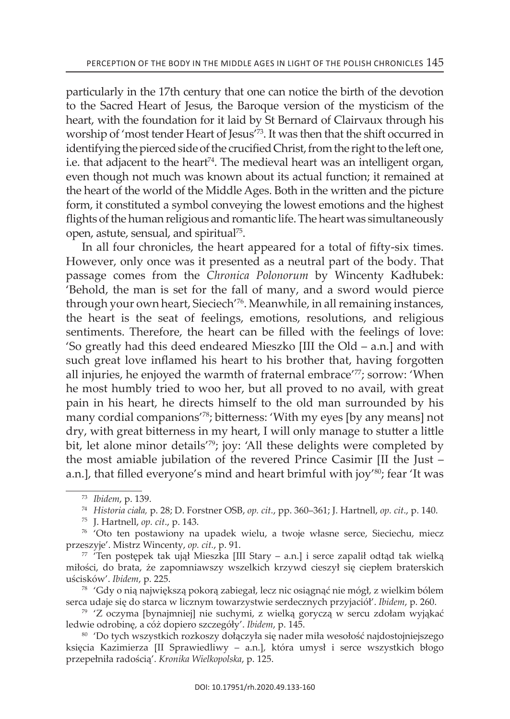particularly in the 17th century that one can notice the birth of the devotion to the Sacred Heart of Jesus, the Baroque version of the mysticism of the heart, with the foundation for it laid by St Bernard of Clairvaux through his worship of 'most tender Heart of Jesus'<sup>73</sup>. It was then that the shift occurred in identifying the pierced side of the crucified Christ, from the right to the left one, i.e. that adjacent to the heart $74$ . The medieval heart was an intelligent organ, even though not much was known about its actual function; it remained at the heart of the world of the Middle Ages. Both in the written and the picture form, it constituted a symbol conveying the lowest emotions and the highest flights of the human religious and romantic life. The heart was simultaneously open, astute, sensual, and spiritual75.

In all four chronicles, the heart appeared for a total of fifty-six times. However, only once was it presented as a neutral part of the body. That passage comes from the *Chronica Polonorum* by wincenty kadłubek: 'Behold, the man is set for the fall of many, and a sword would pierce through your own heart, sieciech'76. Meanwhile, in all remaining instances, the heart is the seat of feelings, emotions, resolutions, and religious sentiments. Therefore, the heart can be filled with the feelings of love: 'so greatly had this deed endeared Mieszko [iii the Old – a.n.] and with such great love inflamed his heart to his brother that, having forgotten all injuries, he enjoyed the warmth of fraternal embrace<sup>'77</sup>; sorrow: 'When he most humbly tried to woo her, but all proved to no avail, with great pain in his heart, he directs himself to the old man surrounded by his many cordial companions'78; bitterness: 'with my eyes [by any means] not dry, with great bitterness in my heart, I will only manage to stutter a little bit, let alone minor details<sup>'79</sup>; joy: 'All these delights were completed by the most amiable jubilation of the revered Prince Casimir [ii the Just – a.n.], that filled everyone's mind and heart brimful with joy'<sup>80</sup>; fear 'It was

<sup>73</sup> *Ibidem*, p. 139.

<sup>74</sup> *Historia ciała,* p. 28; D. Forstner osB, *op. cit.*, pp. 360–361; J. hartnell, *op. cit*., p. 140.

<sup>75</sup> J. hartnell, *op. cit*., p. 143.

<sup>76</sup> 'Oto ten postawiony na upadek wielu, a twoje własne serce, sieciechu, miecz przeszyje'. Mistrz Wincenty, *op. cit.*, p. 91.

 $77$  'Ten postępek tak ujął Mieszka [III Stary – a.n.] i serce zapalił odtąd tak wielką miłości, do brata, że zapomniawszy wszelkich krzywd cieszył się ciepłem braterskich uścisków'. *Ibidem*, p. 225. 78 'Gdy o nią największą pokorą zabiegał, lecz nic osiągnąć nie mógł, z wielkim bólem

serca udaje się do starca w licznym towarzystwie serdecznych przyjaciół'. *Ibidem*, p. 260.

<sup>79</sup> 'z oczyma [bynajmniej] nie suchymi, z wielką goryczą w sercu zdołam wyjąkać ledwie odrobinę, a cóż dopiero szczegóły'. *Ibidem*, p. 145.

<sup>&</sup>lt;sup>80</sup> 'Do tych wszystkich rozkoszy dołączyła się nader miła wesołość najdostojniejszego księcia kazimierza [ii sprawiedliwy – a.n.], która umysł i serce wszystkich błogo przepełniła radością'. *Kronika Wielkopolska*, p. 125.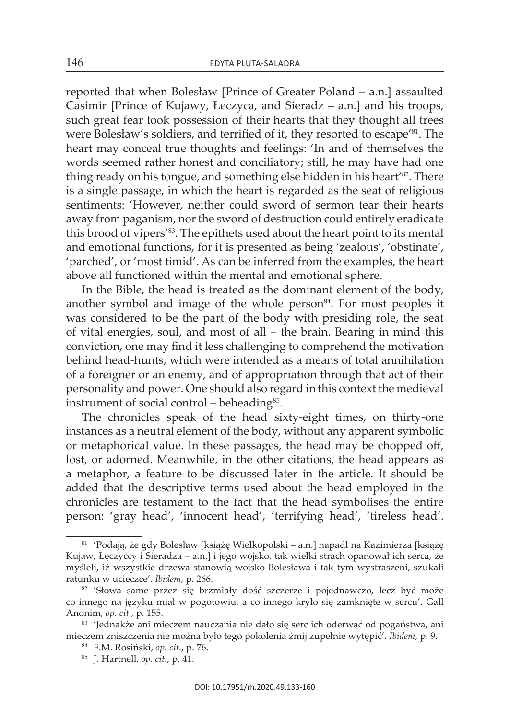reported that when Bolesław [Prince of Greater Poland – a.n.] assaulted Casimir [Prince of kujawy, łeczyca, and sieradz – a.n.] and his troops, such great fear took possession of their hearts that they thought all trees were Bolesław's soldiers, and terrified of it, they resorted to escape<sup>'81</sup>. The heart may conceal true thoughts and feelings: 'In and of themselves the words seemed rather honest and conciliatory; still, he may have had one thing ready on his tongue, and something else hidden in his heart<sup>'82</sup>. There is a single passage, in which the heart is regarded as the seat of religious sentiments: 'However, neither could sword of sermon tear their hearts away from paganism, nor the sword of destruction could entirely eradicate this brood of vipers'<sup>83</sup>. The epithets used about the heart point to its mental and emotional functions, for it is presented as being 'zealous', 'obstinate', 'parched', or 'most timid'. As can be inferred from the examples, the heart above all functioned within the mental and emotional sphere.

In the Bible, the head is treated as the dominant element of the body, another symbol and image of the whole person $84$ . For most peoples it was considered to be the part of the body with presiding role, the seat of vital energies, soul, and most of all – the brain. Bearing in mind this conviction, one may find it less challenging to comprehend the motivation behind head-hunts, which were intended as a means of total annihilation of a foreigner or an enemy, and of appropriation through that act of their personality and power. One should also regard in this context the medieval instrument of social control – beheading<sup>85</sup>.

The chronicles speak of the head sixty-eight times, on thirty-one instances as a neutral element of the body, without any apparent symbolic or metaphorical value. in these passages, the head may be chopped off, lost, or adorned. Meanwhile, in the other citations, the head appears as a metaphor, a feature to be discussed later in the article. it should be added that the descriptive terms used about the head employed in the chronicles are testament to the fact that the head symbolises the entire person: 'gray head', 'innocent head', 'terrifying head', 'tireless head'.

<sup>81</sup> 'Podają, że gdy Bolesław [książę wielkopolski – a.n.] napadł na kazimierza [książę kujaw, łęczyccy i sieradza – a.n.] i jego wojsko, tak wielki strach opanował ich serca, że myśleli, iż wszystkie drzewa stanowią wojsko Bolesława i tak tym wystraszeni, szukali ratunku w ucieczce'. *Ibidem*, p. 266.

<sup>&</sup>lt;sup>82</sup> 'Słowa same przez się brzmiały dość szczerze i pojednawczo, lecz być może co innego na języku miał w pogotowiu, a co innego kryło się zamknięte w sercu'. Gall anonim, *op. cit.*, p. 155.

<sup>83 &#</sup>x27;Jednakże ani mieczem nauczania nie dało się serc ich oderwać od pogaństwa, ani mieczem zniszczenia nie można było tego pokolenia żmij zupełnie wytępić'. *Ibidem*, p. 9. 84 F.M. rosiński, *op. cit.*, p. 76.

<sup>85</sup> J. hartnell, *op. cit.*, p. 41.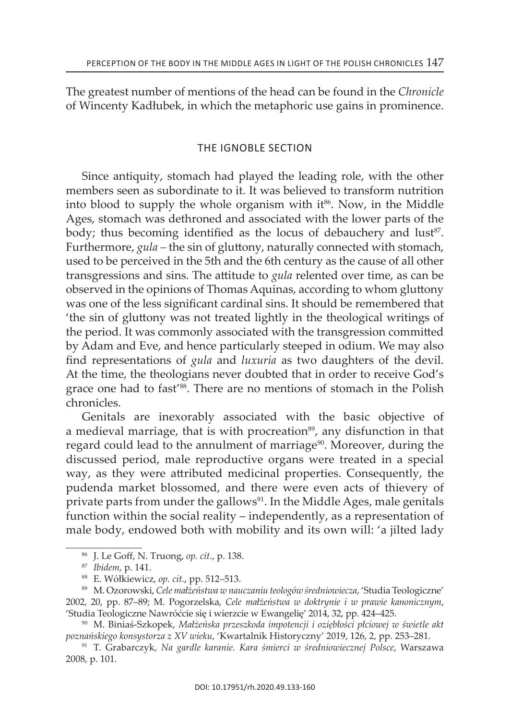the greatest number of mentions of the head can be found in the *Chronicle*  of wincenty kadłubek, in which the metaphoric use gains in prominence.

## the ignoble section

since antiquity, stomach had played the leading role, with the other members seen as subordinate to it. it was believed to transform nutrition into blood to supply the whole organism with  $it^{86}$ . Now, in the Middle Ages, stomach was dethroned and associated with the lower parts of the body; thus becoming identified as the locus of debauchery and lust<sup>87</sup>. Furthermore, *gula* – the sin of gluttony, naturally connected with stomach, used to be perceived in the 5th and the 6th century as the cause of all other transgressions and sins. The attitude to *gula* relented over time, as can be observed in the opinions of Thomas Aquinas, according to whom gluttony was one of the less significant cardinal sins. it should be remembered that 'the sin of gluttony was not treated lightly in the theological writings of the period. it was commonly associated with the transgression committed by Adam and Eve, and hence particularly steeped in odium. We may also find representations of *gula* and *luxuria* as two daughters of the devil. At the time, the theologians never doubted that in order to receive God's grace one had to fast<sup>'88</sup>. There are no mentions of stomach in the Polish chronicles.

Genitals are inexorably associated with the basic objective of a medieval marriage, that is with procreation<sup>89</sup>, any disfunction in that regard could lead to the annulment of marriage<sup>90</sup>. Moreover, during the discussed period, male reproductive organs were treated in a special way, as they were attributed medicinal properties. Consequently, the pudenda market blossomed, and there were even acts of thievery of private parts from under the gallows $91$ . In the Middle Ages, male genitals function within the social reality – independently, as a representation of male body, endowed both with mobility and its own will: 'a jilted lady

<sup>&</sup>lt;sup>86</sup> J. Le Goff, N. Truong, op. cit., p. 138.

<sup>87</sup> *Ibidem*, p. 141.

<sup>88</sup> e. wółkiewicz, *op. cit.*, pp. 512–513.

<sup>89</sup> M. Ozorowski, Cele małżeństwa w nauczaniu teologów średniowiecza, 'Studia Teologiczne' 2002, 20, pp. 87–89; M. Pogorzelska, *Cele małżeństwa w doktrynie i w prawie kanonicznym*, 'studia teologiczne nawróćcie się i wierzcie w ewangelię' 2014, 32, pp. 424–425.

<sup>90</sup> M. Biniaś-szkopek, *Małżeńska przeszkoda impotencji i oziębłości płciowej w świetle akt poznańskiego konsystorza z XV wieku*, 'Kwartalnik historyczny' 2019, 126, 2, pp. 253–281.

<sup>&</sup>lt;sup>91</sup> T. Grabarczyk, Na gardle karanie. Kara śmierci w średniowiecznej Polsce, Warszawa 2008, p. 101.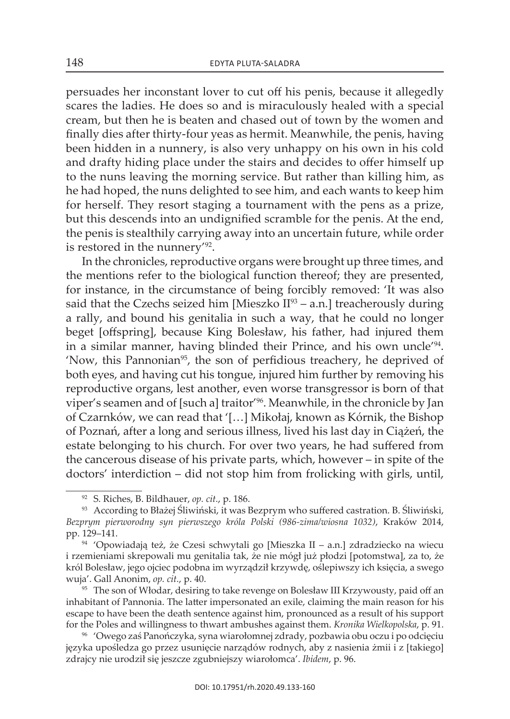persuades her inconstant lover to cut off his penis, because it allegedly scares the ladies. He does so and is miraculously healed with a special cream, but then he is beaten and chased out of town by the women and finally dies after thirty-four yeas as hermit. Meanwhile, the penis, having been hidden in a nunnery, is also very unhappy on his own in his cold and drafty hiding place under the stairs and decides to offer himself up to the nuns leaving the morning service. But rather than killing him, as he had hoped, the nuns delighted to see him, and each wants to keep him for herself. They resort staging a tournament with the pens as a prize, but this descends into an undignified scramble for the penis. At the end, the penis is stealthily carrying away into an uncertain future, while order is restored in the nunnery'92.

In the chronicles, reproductive organs were brought up three times, and the mentions refer to the biological function thereof; they are presented, for instance, in the circumstance of being forcibly removed: 'it was also said that the Czechs seized him [Mieszko  $II^{93}$  – a.n.] treacherously during a rally, and bound his genitalia in such a way, that he could no longer beget [offspring], because king Bolesław, his father, had injured them in a similar manner, having blinded their Prince, and his own uncle'94. 'Now, this Pannonian<sup>95</sup>, the son of perfidious treachery, he deprived of both eyes, and having cut his tongue, injured him further by removing his reproductive organs, lest another, even worse transgressor is born of that viper's seamen and of [such a] traitor'96. Meanwhile, in the chronicle by Jan of Czarnków, we can read that '[…] Mikołaj, known as kórnik, the Bishop of Poznań, after a long and serious illness, lived his last day in Ciążeń, the estate belonging to his church. For over two years, he had suffered from the cancerous disease of his private parts, which, however – in spite of the doctors' interdiction – did not stop him from frolicking with girls, until,

<sup>&</sup>lt;sup>92</sup> S. Riches, B. Bildhauer, *op. cit.*, p. 186.

<sup>93</sup> According to Błażej Śliwiński, it was Bezprym who suffered castration. B. Śliwiński, *Bezprym pierworodny syn pierwszego króla Polski (986-zima/wiosna 1032)*, Kraków 2014, pp. 129–141.

<sup>94</sup> 'Opowiadają też, że Czesi schwytali go [Mieszka ii – a.n.] zdradziecko na wiecu i rzemieniami skrepowali mu genitalia tak, że nie mógł już płodzi [potomstwa], za to, że król Bolesław, jego ojciec podobna im wyrządził krzywdę, oślepiwszy ich księcia, a swego wuja'. Gall anonim, *op. cit.*, p. 40.

<sup>&</sup>lt;sup>95</sup> The son of Włodar, desiring to take revenge on Bolesław III Krzywousty, paid off an inhabitant of Pannonia. The latter impersonated an exile, claiming the main reason for his escape to have been the death sentence against him, pronounced as a result of his support for the Poles and willingness to thwart ambushes against them. *Kronika Wielkopolska*, p. 91.

<sup>96</sup> 'Owego zaś Panończyka, syna wiarołomnej zdrady, pozbawia obu oczu i po odcięciu języka upośledza go przez usunięcie narządów rodnych, aby z nasienia żmii i z [takiego] zdrajcy nie urodził się jeszcze zgubniejszy wiarołomca'. *Ibidem*, p. 96.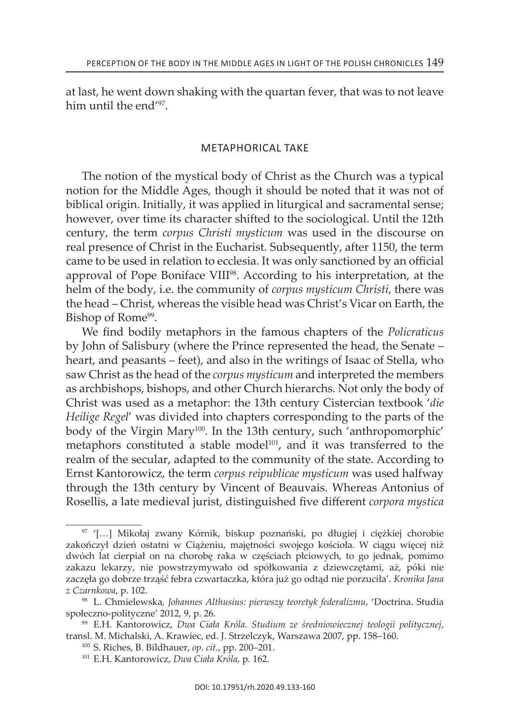at last, he went down shaking with the quartan fever, that was to not leave him until the end'97.

## Metaphorical taKe

The notion of the mystical body of Christ as the Church was a typical notion for the Middle Ages, though it should be noted that it was not of biblical origin. Initially, it was applied in liturgical and sacramental sense; however, over time its character shifted to the sociological. Until the 12th century, the term *corpus Christi mysticum* was used in the discourse on real presence of Christ in the Eucharist. Subsequently, after 1150, the term came to be used in relation to ecclesia. it was only sanctioned by an official approval of Pope Boniface VIII<sup>98</sup>. According to his interpretation, at the helm of the body, i.e. the community of *corpus mysticum Christi*, there was the head – Christ, whereas the visible head was Christ's Vicar on Earth, the Bishop of Rome<sup>99</sup>.

we find bodily metaphors in the famous chapters of the *Policraticus*  by John of Salisbury (where the Prince represented the head, the Senate – heart, and peasants – feet), and also in the writings of Isaac of Stella, who saw christ as the head of the *corpus mysticum* and interpreted the members as archbishops, bishops, and other Church hierarchs. Not only the body of christ was used as a metaphor: the 13th century cistercian textbook '*die Heilige Regel*' was divided into chapters corresponding to the parts of the body of the Virgin Mary<sup>100</sup>. In the 13th century, such 'anthropomorphic' metaphors constituted a stable model<sup>101</sup>, and it was transferred to the realm of the secular, adapted to the community of the state. According to ernst Kantorowicz, the term *corpus reipublicae mysticum* was used halfway through the 13th century by Vincent of Beauvais. Whereas Antonius of rosellis, a late medieval jurist, distinguished five different *corpora mystica*

<sup>97</sup> '[…] Mikołaj zwany kórnik, biskup poznański, po długiej i ciężkiej chorobie zakończył dzień ostatni w Ciążeniu, majętności swojego kościoła. w ciągu więcej niż dwóch lat cierpiał on na chorobę raka w częściach płciowych, to go jednak, pomimo zakazu lekarzy, nie powstrzymywało od spółkowania z dziewczętami, aż, póki nie zaczęła go dobrze trząść febra czwartaczka, która już go odtąd nie porzuciła'. *Kronika Jana z Czarnkowa*, p. 102.

<sup>98</sup> l. chmielewska*, Johannes Althusius: pierwszy teoretyk federalizmu*, 'Doctrina. studia społeczno-polityczne' 2012, 9, p. 26.

<sup>99</sup> e.h. Kantorowicz, *Dwa Ciała Króla. Studium ze średniowiecznej teologii politycznej*, transl. M. Michalski, A. Krawiec, ed. J. Strzelczyk, Warszawa 2007, pp. 158-160.

<sup>&</sup>lt;sup>100</sup> S. Riches, B. Bildhauer, *op. cit.*, pp. 200-201.

<sup>101</sup> e.h. Kantorowicz, *Dwa Ciała Króla*, p. 162.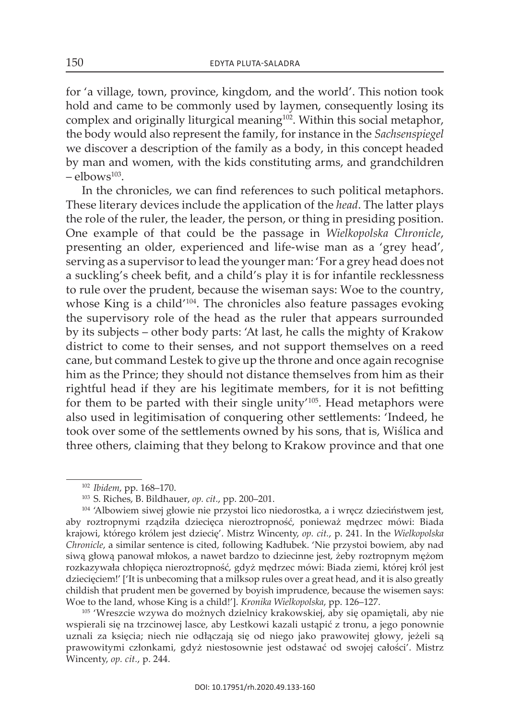for 'a village, town, province, kingdom, and the world'. This notion took hold and came to be commonly used by laymen, consequently losing its complex and originally liturgical meaning<sup>102</sup>. Within this social metaphor, the body would also represent the family, for instance in the *Sachsenspiegel* we discover a description of the family as a body, in this concept headed by man and women, with the kids constituting arms, and grandchildren  $-$  elbows<sup>103</sup>.

In the chronicles, we can find references to such political metaphors. these literary devices include the application of the *head*. the latter plays the role of the ruler, the leader, the person, or thing in presiding position. one example of that could be the passage in *Wielkopolska Chronicle*, presenting an older, experienced and life-wise man as a 'grey head', serving as a supervisor to lead the younger man: 'For a grey head does not a suckling's cheek befit, and a child's play it is for infantile recklessness to rule over the prudent, because the wiseman says: Woe to the country, whose King is a child'<sup>104</sup>. The chronicles also feature passages evoking the supervisory role of the head as the ruler that appears surrounded by its subjects – other body parts: 'at last, he calls the mighty of krakow district to come to their senses, and not support themselves on a reed cane, but command lestek to give up the throne and once again recognise him as the Prince; they should not distance themselves from him as their rightful head if they are his legitimate members, for it is not befitting for them to be parted with their single unity<sup>'105</sup>. Head metaphors were also used in legitimisation of conquering other settlements: 'indeed, he took over some of the settlements owned by his sons, that is, wiślica and three others, claiming that they belong to Krakow province and that one

<sup>105</sup> 'Wreszcie wzywa do możnych dzielnicy krakowskiej, aby się opamiętali, aby nie wspierali się na trzcinowej lasce, aby Lestkowi kazali ustąpić z tronu, a jego ponownie uznali za księcia; niech nie odłączają się od niego jako prawowitej głowy, jeżeli są prawowitymi członkami, gdyż niestosownie jest odstawać od swojej całości'. Mistrz Wincenty, *op. cit.*, p. 244.

<sup>102</sup> *Ibidem*, pp. 168–170.

<sup>&</sup>lt;sup>103</sup> S. Riches, B. Bildhauer, op. cit., pp. 200-201.

<sup>&</sup>lt;sup>104</sup> 'Albowiem siwej głowie nie przystoi lico niedorostka, a i wręcz dzieciństwem jest, aby roztropnymi rządziła dziecięca nieroztropność, ponieważ mędrzec mówi: Biada krajowi, którego królem jest dziecię'. Mistrz Wincenty, *op. cit.*, p. 241. in the *Wielkopolska Chronicle*, a similar sentence is cited, following kadłubek. 'nie przystoi bowiem, aby nad siwą głową panował młokos, a nawet bardzo to dziecinne jest, żeby roztropnym mężom rozkazywała chłopięca nieroztropność, gdyż mędrzec mówi: Biada ziemi, której król jest dziecieciem!' ['It is unbecoming that a milksop rules over a great head, and it is also greatly childish that prudent men be governed by boyish imprudence, because the wisemen says: Woe to the land, whose King is a child!']. *Kronika Wielkopolska*, pp. 126–127.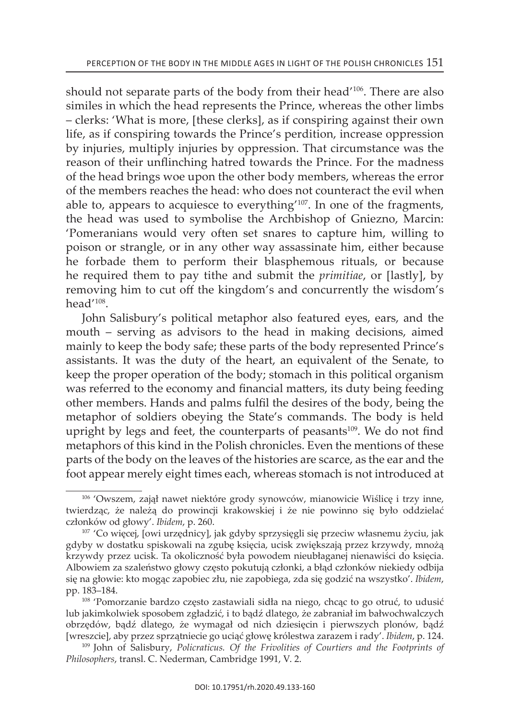should not separate parts of the body from their head'<sup>106</sup>. There are also similes in which the head represents the Prince, whereas the other limbs – clerks: 'what is more, [these clerks], as if conspiring against their own life, as if conspiring towards the Prince's perdition, increase oppression by injuries, multiply injuries by oppression. That circumstance was the reason of their unflinching hatred towards the Prince. For the madness of the head brings woe upon the other body members, whereas the error of the members reaches the head: who does not counteract the evil when able to, appears to acquiesce to everything'107. in one of the fragments, the head was used to symbolise the archbishop of Gniezno, Marcin: 'Pomeranians would very often set snares to capture him, willing to poison or strangle, or in any other way assassinate him, either because he forbade them to perform their blasphemous rituals, or because he required them to pay tithe and submit the *primitiae*, or [lastly], by removing him to cut off the kingdom's and concurrently the wisdom's head'108.

John salisbury's political metaphor also featured eyes, ears, and the mouth – serving as advisors to the head in making decisions, aimed mainly to keep the body safe; these parts of the body represented Prince's assistants. it was the duty of the heart, an equivalent of the senate, to keep the proper operation of the body; stomach in this political organism was referred to the economy and financial matters, its duty being feeding other members. Hands and palms fulfil the desires of the body, being the metaphor of soldiers obeying the State's commands. The body is held upright by legs and feet, the counterparts of peasants<sup>109</sup>. We do not find metaphors of this kind in the Polish chronicles. Even the mentions of these parts of the body on the leaves of the histories are scarce, as the ear and the foot appear merely eight times each, whereas stomach is not introduced at

<sup>106</sup> 'Owszem, zajął nawet niektóre grody synowców, mianowicie wiślicę i trzy inne, twierdząc, że należą do prowincji krakowskiej i że nie powinno się było oddzielać członków od głowy'. *Ibidem*, p. 260.

<sup>107</sup> 'Co więcej, [owi urzędnicy], jak gdyby sprzysięgli się przeciw własnemu życiu, jak gdyby w dostatku spiskowali na zgubę księcia, ucisk zwiększają przez krzywdy, mnożą krzywdy przez ucisk. ta okoliczność była powodem nieubłaganej nienawiści do księcia. albowiem za szaleństwo głowy często pokutują członki, a błąd członków niekiedy odbija się na głowie: kto mogąc zapobiec złu, nie zapobiega, zda się godzić na wszystko'. *Ibidem*, pp. 183–184.

<sup>108</sup> 'Pomorzanie bardzo często zastawiali sidła na niego, chcąc to go otruć, to udusić lub jakimkolwiek sposobem zgładzić, i to bądź dlatego, że zabraniał im bałwochwalczych obrzędów, bądź dlatego, że wymagał od nich dziesięcin i pierwszych plonów, bądź [wreszcie], aby przez sprzątniecie go uciąć głowę królestwa zarazem i rady'. *Ibidem*, p. 124.

<sup>109</sup> John of salisbury, *Policraticus. Of the Frivolities of Courtiers and the Footprints of Philosophers, transl. C. Nederman, Cambridge 1991, V. 2.*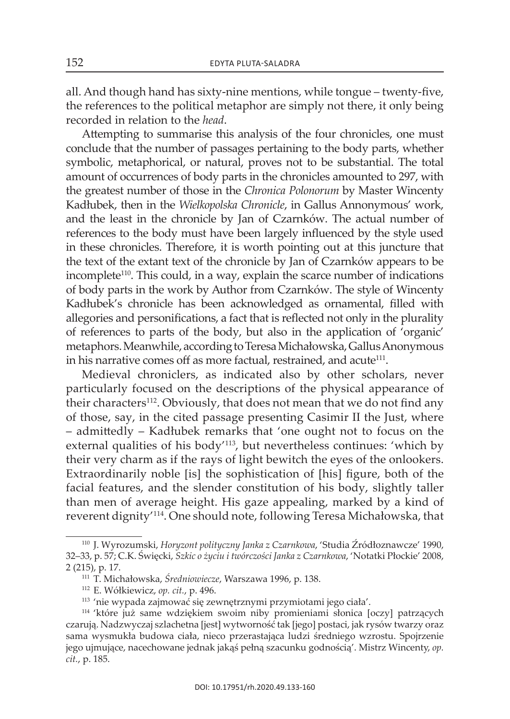all. and though hand has sixty-nine mentions, while tongue – twenty-five, the references to the political metaphor are simply not there, it only being recorded in relation to the *head*.

Attempting to summarise this analysis of the four chronicles, one must conclude that the number of passages pertaining to the body parts, whether symbolic, metaphorical, or natural, proves not to be substantial. The total amount of occurrences of body parts in the chronicles amounted to 297, with the greatest number of those in the *Chronica Polonorum* by Master Wincenty Kadłubek, then in the *Wielkopolska Chronicle*, in Gallus Annonymous' work, and the least in the chronicle by Jan of Czarnków. the actual number of references to the body must have been largely influenced by the style used in these chronicles. Therefore, it is worth pointing out at this juncture that the text of the extant text of the chronicle by Jan of Czarnków appears to be incomplete<sup>110</sup>. This could, in a way, explain the scarce number of indications of body parts in the work by Author from Czarnków. The style of Wincenty kadłubek's chronicle has been acknowledged as ornamental, filled with allegories and personifications, a fact that is reflected not only in the plurality of references to parts of the body, but also in the application of 'organic' metaphors. Meanwhile, according to Teresa Michałowska, Gallus Anonymous in his narrative comes off as more factual, restrained, and acute<sup>111</sup>.

Medieval chroniclers, as indicated also by other scholars, never particularly focused on the descriptions of the physical appearance of their characters<sup>112</sup>. Obviously, that does not mean that we do not find any of those, say, in the cited passage presenting casimir ii the Just, where – admittedly – kadłubek remarks that 'one ought not to focus on the external qualities of his body'113, but nevertheless continues: 'which by their very charm as if the rays of light bewitch the eyes of the onlookers. Extraordinarily noble [is] the sophistication of [his] figure, both of the facial features, and the slender constitution of his body, slightly taller than men of average height. His gaze appealing, marked by a kind of reverent dignity'<sup>114</sup>. One should note, following Teresa Michałowska, that

<sup>110</sup> J. Wyrozumski, *Horyzont polityczny Janka z Czarnkowa*, 'studia Źródłoznawcze' 1990, 32–33, p. 57; C.k. Święcki, *Szkic o życiu i twórczości Janka z Czarnkowa*, 'notatki Płockie' 2008, 2 (215), p. 17.

<sup>&</sup>lt;sup>111</sup> T. Michałowska, Średniowiecze, Warszawa 1996, p. 138.

<sup>112</sup> e. wółkiewicz, *op. cit.*, p. 496.

<sup>113</sup> 'nie wypada zajmować się zewnętrznymi przymiotami jego ciała'.

<sup>114</sup> 'które już same wdziękiem swoim niby promieniami słonica [oczy] patrzących czarują. Nadzwyczaj szlachetna [jest] wytworność tak [jego] postaci, jak rysów twarzy oraz sama wysmukła budowa ciała, nieco przerastająca ludzi średniego wzrostu. spojrzenie jego ujmujące, nacechowane jednak jakąś pełną szacunku godnością'. Mistrz Wincenty, *op. cit.*, p. 185.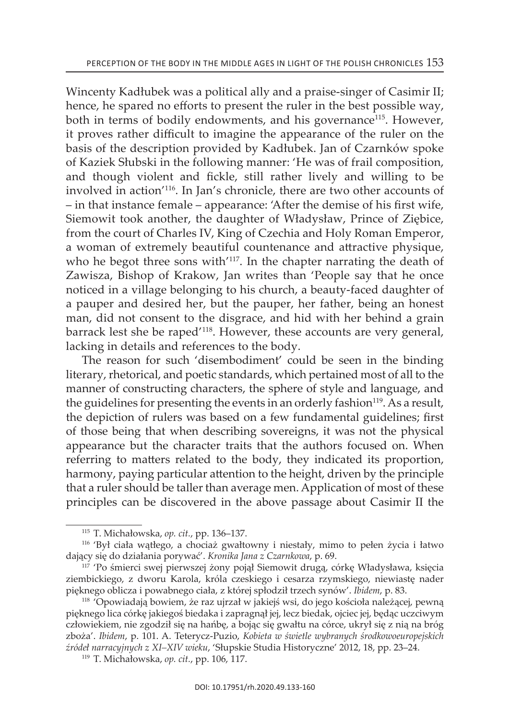Wincenty Kadłubek was a political ally and a praise-singer of Casimir II; hence, he spared no efforts to present the ruler in the best possible way, both in terms of bodily endowments, and his governance<sup>115</sup>. However, it proves rather difficult to imagine the appearance of the ruler on the basis of the description provided by kadłubek. Jan of Czarnków spoke of kaziek słubski in the following manner: 'He was of frail composition, and though violent and fickle, still rather lively and willing to be involved in action'116. in Jan's chronicle, there are two other accounts of – in that instance female – appearance: 'after the demise of his first wife, Siemowit took another, the daughter of Władysław, Prince of Ziębice, from the court of Charles IV, King of Czechia and Holy Roman Emperor, a woman of extremely beautiful countenance and attractive physique, who he begot three sons with<sup>'117</sup>. In the chapter narrating the death of zawisza, Bishop of Krakow, Jan writes than 'People say that he once noticed in a village belonging to his church, a beauty-faced daughter of a pauper and desired her, but the pauper, her father, being an honest man, did not consent to the disgrace, and hid with her behind a grain barrack lest she be raped<sup>'118</sup>. However, these accounts are very general, lacking in details and references to the body.

the reason for such 'disembodiment' could be seen in the binding literary, rhetorical, and poetic standards, which pertained most of all to the manner of constructing characters, the sphere of style and language, and the guidelines for presenting the events in an orderly fashion<sup>119</sup>. As a result, the depiction of rulers was based on a few fundamental guidelines; first of those being that when describing sovereigns, it was not the physical appearance but the character traits that the authors focused on. When referring to matters related to the body, they indicated its proportion, harmony, paying particular attention to the height, driven by the principle that a ruler should be taller than average men. Application of most of these principles can be discovered in the above passage about casimir ii the

<sup>115</sup> t. Michałowska, *op. cit.*, pp. 136–137.

<sup>116</sup> 'Był ciała wątłego, a chociaż gwałtowny i niestały, mimo to pełen życia i łatwo dający się do działania porywać'. *Kronika Jana z Czarnkowa*, p. 69.

<sup>117</sup> 'Po śmierci swej pierwszej żony pojął siemowit drugą, córkę władysława, księcia ziembickiego, z dworu karola, króla czeskiego i cesarza rzymskiego, niewiastę nader pięknego oblicza i powabnego ciała, z której spłodził trzech synów'. *Ibidem*, p. 83.

<sup>118</sup> 'Opowiadają bowiem, że raz ujrzał w jakiejś wsi, do jego kościoła należącej, pewną pięknego lica córkę jakiegoś biedaka i zapragnął jej, lecz biedak, ojciec jej, będąc uczciwym człowiekiem, nie zgodził się na hańbę, a bojąc się gwałtu na córce, ukrył się z nią na bróg zboża'. *Ibidem*, p. 101. a. teterycz-Puzio, *Kobieta w świetle wybranych środkowoeuropejskich*  źródeł narracyjnych z XI–XIV wieku, 'Słupskie Studia Historyczne' 2012, 18, pp. 23–24.

<sup>119</sup> t. Michałowska, *op. cit.*, pp. 106, 117.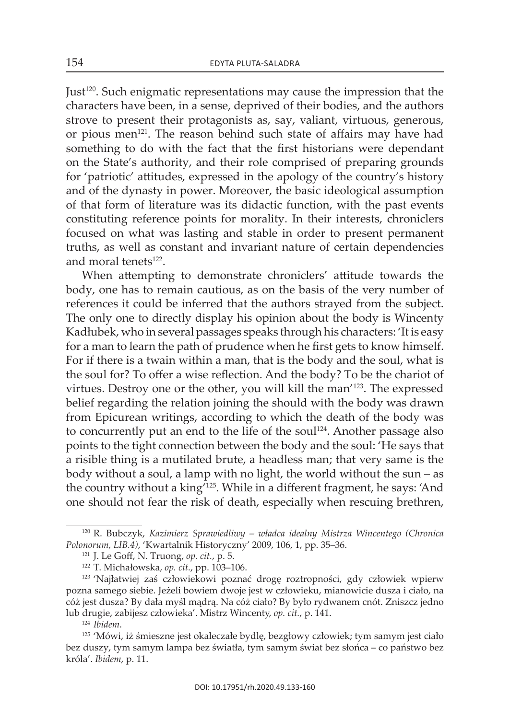Just120. such enigmatic representations may cause the impression that the characters have been, in a sense, deprived of their bodies, and the authors strove to present their protagonists as, say, valiant, virtuous, generous, or pious men<sup>121</sup>. The reason behind such state of affairs may have had something to do with the fact that the first historians were dependant on the state's authority, and their role comprised of preparing grounds for 'patriotic' attitudes, expressed in the apology of the country's history and of the dynasty in power. Moreover, the basic ideological assumption of that form of literature was its didactic function, with the past events constituting reference points for morality. in their interests, chroniclers focused on what was lasting and stable in order to present permanent truths, as well as constant and invariant nature of certain dependencies and moral tenets<sup>122</sup>.

when attempting to demonstrate chroniclers' attitude towards the body, one has to remain cautious, as on the basis of the very number of references it could be inferred that the authors strayed from the subject. The only one to directly display his opinion about the body is Wincenty Kadłubek, who in several passages speaks through his characters: 'It is easy for a man to learn the path of prudence when he first gets to know himself. For if there is a twain within a man, that is the body and the soul, what is the soul for? To offer a wise reflection. And the body? To be the chariot of virtues. Destroy one or the other, you will kill the man'<sup>123</sup>. The expressed belief regarding the relation joining the should with the body was drawn from Epicurean writings, according to which the death of the body was to concurrently put an end to the life of the soul<sup>124</sup>. Another passage also points to the tight connection between the body and the soul: 'He says that a risible thing is a mutilated brute, a headless man; that very same is the body without a soul, a lamp with no light, the world without the sun – as the country without a king<sup>7125</sup>. While in a different fragment, he says: 'And one should not fear the risk of death, especially when rescuing brethren,

<sup>124</sup> *Ibidem*.

<sup>&</sup>lt;sup>120</sup> R. Bubczyk, Kazimierz Sprawiedliwy – władca idealny Mistrza Wincentego (Chronica *Polonorum, LIB.4)*, 'Kwartalnik historyczny' 2009, 106, 1, pp. 35–36.

<sup>&</sup>lt;sup>121</sup> J. Le Goff, N. Truong, *op. cit.*, p. 5.

<sup>122</sup> t. Michałowska, *op. cit.*, pp. 103–106.

<sup>&</sup>lt;sup>123</sup> 'Najłatwiej zaś człowiekowi poznać drogę roztropności, gdy człowiek wpierw pozna samego siebie. Jeżeli bowiem dwoje jest w człowieku, mianowicie dusza i ciało, na cóż jest dusza? By dała myśl mądrą. na cóż ciało? By było rydwanem cnót. zniszcz jedno lub drugie, zabijesz człowieka'. Mistrz Wincenty, *op. cit.*, p. 141.

<sup>125</sup> 'Mówi, iż śmieszne jest okaleczałe bydlę, bezgłowy człowiek; tym samym jest ciało bez duszy, tym samym lampa bez światła, tym samym świat bez słońca – co państwo bez króla'. *Ibidem*, p. 11.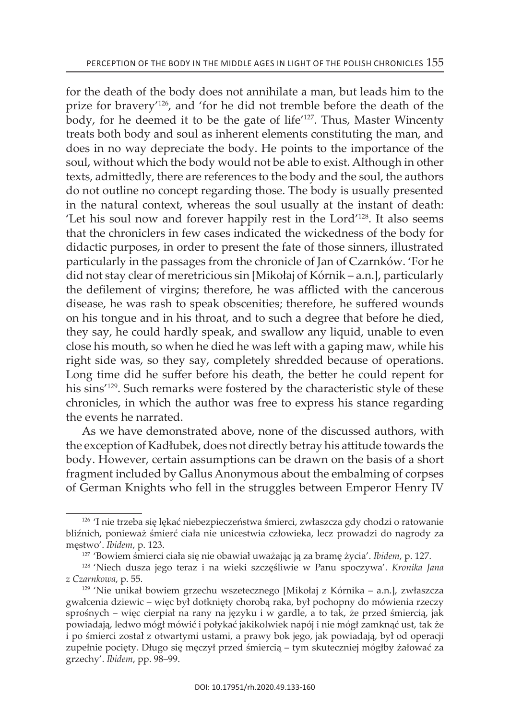for the death of the body does not annihilate a man, but leads him to the prize for bravery'126, and 'for he did not tremble before the death of the body, for he deemed it to be the gate of life<sup>'127</sup>. Thus, Master Wincenty treats both body and soul as inherent elements constituting the man, and does in no way depreciate the body. He points to the importance of the soul, without which the body would not be able to exist. Although in other texts, admittedly, there are references to the body and the soul, the authors do not outline no concept regarding those. The body is usually presented in the natural context, whereas the soul usually at the instant of death: Let his soul now and forever happily rest in the Lord<sup>'128</sup>. It also seems that the chroniclers in few cases indicated the wickedness of the body for didactic purposes, in order to present the fate of those sinners, illustrated particularly in the passages from the chronicle of Jan of Czarnków. 'For he did not stay clear of meretricious sin [Mikołaj of kórnik – a.n.], particularly the defilement of virgins; therefore, he was afflicted with the cancerous disease, he was rash to speak obscenities; therefore, he suffered wounds on his tongue and in his throat, and to such a degree that before he died, they say, he could hardly speak, and swallow any liquid, unable to even close his mouth, so when he died he was left with a gaping maw, while his right side was, so they say, completely shredded because of operations. Long time did he suffer before his death, the better he could repent for his sins<sup>'129</sup>. Such remarks were fostered by the characteristic style of these chronicles, in which the author was free to express his stance regarding the events he narrated.

As we have demonstrated above, none of the discussed authors, with the exception of kadłubek, does not directly betray his attitude towards the body. however, certain assumptions can be drawn on the basis of a short fragment included by Gallus anonymous about the embalming of corpses of German Knights who fell in the struggles between Emperor Henry IV

<sup>&</sup>lt;sup>126</sup> 'I nie trzeba się lękać niebezpieczeństwa śmierci, zwłaszcza gdy chodzi o ratowanie bliźnich, ponieważ śmierć ciała nie unicestwia człowieka, lecz prowadzi do nagrody za męstwo'. *Ibidem*, p. 123.

<sup>127</sup> 'Bowiem śmierci ciała się nie obawiał uważając ją za bramę życia'. *Ibidem*, p. 127.

<sup>128</sup> 'niech dusza jego teraz i na wieki szczęśliwie w Panu spoczywa'. *Kronika Jana z Czarnkowa*, p. 55.

<sup>&</sup>lt;sup>129</sup> 'Nie unikał bowiem grzechu wszetecznego [Mikołaj z Kórnika – a.n.], zwłaszcza gwałcenia dziewic – więc był dotknięty chorobą raka, był pochopny do mówienia rzeczy sprośnych – więc cierpiał na rany na języku i w gardle, a to tak, że przed śmiercią, jak powiadają, ledwo mógł mówić i połykać jakikolwiek napój i nie mógł zamknąć ust, tak że i po śmierci został z otwartymi ustami, a prawy bok jego, jak powiadają, był od operacji zupełnie pocięty. Długo się męczył przed śmiercią – tym skuteczniej mógłby żałować za grzechy'. *Ibidem*, pp. 98–99.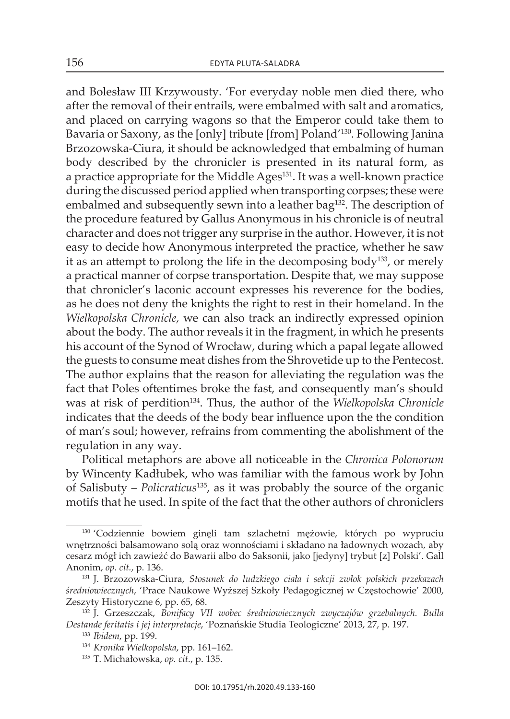and Bolesław iii krzywousty. 'For everyday noble men died there, who after the removal of their entrails, were embalmed with salt and aromatics, and placed on carrying wagons so that the Emperor could take them to Bavaria or saxony, as the [only] tribute [from] Poland'130. Following Janina Brzozowska-ciura, it should be acknowledged that embalming of human body described by the chronicler is presented in its natural form, as a practice appropriate for the Middle Ages<sup>131</sup>. It was a well-known practice during the discussed period applied when transporting corpses; these were embalmed and subsequently sewn into a leather bag<sup>132</sup>. The description of the procedure featured by Gallus Anonymous in his chronicle is of neutral character and does not trigger any surprise in the author. however, it is not easy to decide how Anonymous interpreted the practice, whether he saw it as an attempt to prolong the life in the decomposing body<sup>133</sup>, or merely a practical manner of corpse transportation. Despite that, we may suppose that chronicler's laconic account expresses his reverence for the bodies, as he does not deny the knights the right to rest in their homeland. in the *Wielkopolska Chronicle,* we can also track an indirectly expressed opinion about the body. The author reveals it in the fragment, in which he presents his account of the Synod of Wrocław, during which a papal legate allowed the guests to consume meat dishes from the shrovetide up to the Pentecost. The author explains that the reason for alleviating the regulation was the fact that Poles oftentimes broke the fast, and consequently man's should was at risk of perdition<sup>134</sup>. Thus, the author of the *Wielkopolska Chronicle* indicates that the deeds of the body bear influence upon the the condition of man's soul; however, refrains from commenting the abolishment of the regulation in any way.

Political metaphors are above all noticeable in the *Chronica Polonorum* by wincenty kadłubek, who was familiar with the famous work by John of salisbuty – *Policraticus*135, as it was probably the source of the organic motifs that he used. in spite of the fact that the other authors of chroniclers

<sup>130</sup> 'Codziennie bowiem ginęli tam szlachetni mężowie, których po wypruciu wnętrzności balsamowano solą oraz wonnościami i składano na ładownych wozach, aby cesarz mógł ich zawieźć do Bawarii albo do saksonii, jako [jedyny] trybut [z] Polski'. Gall anonim, *op. cit.*, p. 136.

<sup>131</sup> J. Brzozowska-ciura, *Stosunek do ludzkiego ciała i sekcji zwłok polskich przekazach średniowiecznych*, 'Prace naukowe wyższej szkoły Pedagogicznej w Częstochowie' 2000, zeszyty historyczne 6, pp. 65, 68.

<sup>132</sup> J. Grzeszczak, *Bonifacy VII wobec średniowiecznych zwyczajów grzebalnych. Bulla Destande feritatis i jej interpretacje*, 'Poznańskie studia teologiczne' 2013, 27, p. 197.

<sup>133</sup> *Ibidem*, pp. 199.

<sup>134</sup> *Kronika Wielkopolska*, pp. 161–162.

<sup>135</sup> T. Michałowska, op. cit., p. 135.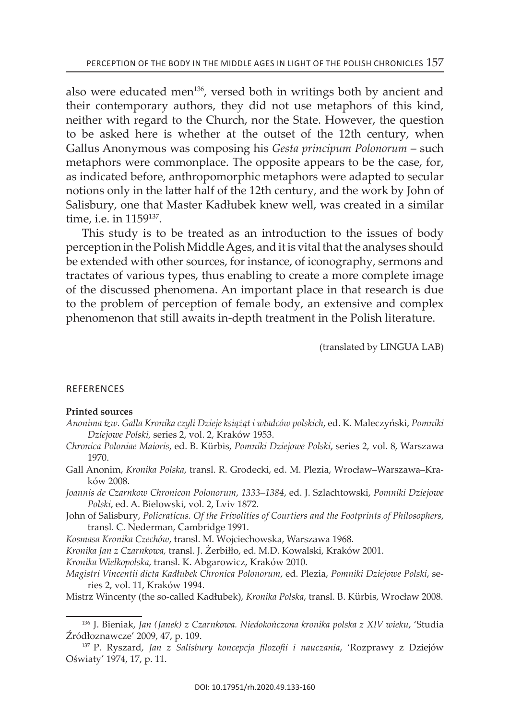also were educated men<sup>136</sup>, versed both in writings both by ancient and their contemporary authors, they did not use metaphors of this kind, neither with regard to the church, nor the state. however, the question to be asked here is whether at the outset of the 12th century, when Gallus Anonymous was composing his *Gesta principum Polonorum* – such metaphors were commonplace. The opposite appears to be the case, for, as indicated before, anthropomorphic metaphors were adapted to secular notions only in the latter half of the 12th century, and the work by John of salisbury, one that Master kadłubek knew well, was created in a similar time, i.e. in 1159<sup>137</sup>.

This study is to be treated as an introduction to the issues of body perception in the Polish Middle ages, and it is vital that the analyses should be extended with other sources, for instance, of iconography, sermons and tractates of various types, thus enabling to create a more complete image of the discussed phenomena. An important place in that research is due to the problem of perception of female body, an extensive and complex phenomenon that still awaits in-depth treatment in the Polish literature.

(translated by LinGua LaB)

## **REFERENCES**

### **Printed sources**

- *Anonima tzw. Galla Kronika czyli Dzieje książąt i władców polskich*, ed. k. Maleczyński, *Pomniki Dziejowe Polski,* series 2, vol. 2, kraków 1953.
- *Chronica Poloniae Maioris*, ed. B. Kürbis, *Pomniki Dziejowe Polski*, series 2, vol. 8, Warszawa 1970.
- Gall Anonim, *Kronika Polska*, transl. R. Grodecki, ed. M. Plezia, Wrocław–Warszawa–Kraków 2008.
- *Joannis de Czarnkow Chronicon Polonorum*, *1333–1384*, ed. J. szlachtowski, *Pomniki Dziejowe*  Polski, ed. A. Bielowski, vol. 2, Lviv 1872.
- John of salisbury, *Policraticus. Of the Frivolities of Courtiers and the Footprints of Philosophers*, transl. C. Nederman, Cambridge 1991.
- *Kosmasa Kronika Czechów*, transl. M. Wojciechowska, Warszawa 1968.
- *Kronika Jan z Czarnkowa,* transl. J. Żerbiłło, ed. M.d. kowalski, kraków 2001.
- *Kronika Wielkopolska*, transl. k. abgarowicz, kraków 2010.
- *Magistri Vincentii dicta Kadłubek Chronica Polonorum*, ed. Plezia, *Pomniki Dziejowe Polski*, series 2, vol. 11, kraków 1994.
- Mistrz wincenty (the so-called kadłubek), *Kronika Polska*, transl. B. kürbis, wrocław 2008.

<sup>136</sup> J. Bieniak, *Jan (Janek) z Czarnkowa. Niedokończona kronika polska z XIV wieku*, 'studia Źródłoznawcze' 2009, 47, p. 109.

<sup>&</sup>lt;sup>137</sup> P. Ryszard, Jan z Salisbury koncepcja filozofii i nauczania, 'Rozprawy z Dziejów Oświaty' 1974, 17, p. 11.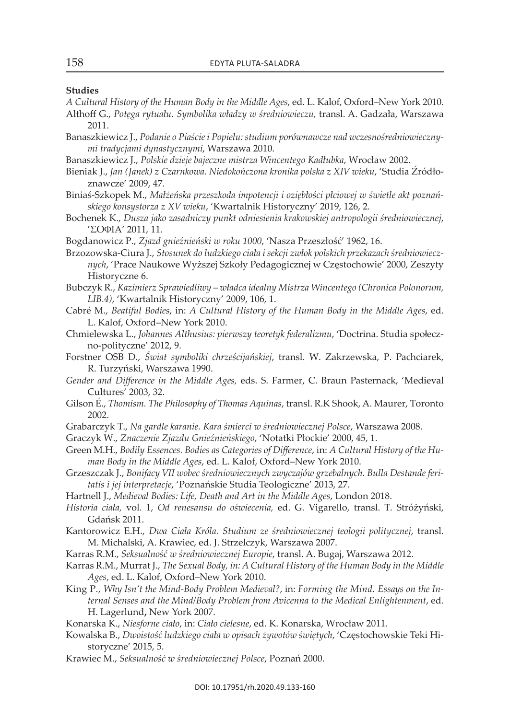#### **studies**

- *A Cultural History of the Human Body in the Middle Ages*, ed. l. Kalof, oxford–new york 2010. althoff G., *Potęga rytuału. Symbolika władzy w średniowieczu,* transl. a. Gadzała, warszawa 2011.
- Banaszkiewicz J., *Podanie o Piaście i Popielu: studium porównawcze nad wczesnośredniowiecznymi tradycjami dynastycznymi*, Warszawa 2010.
- Banaszkiewicz J., *Polskie dzieje bajeczne mistrza Wincentego Kadłubka*, wrocław 2002.
- Bieniak J., *Jan (Janek) z Czarnkowa. Niedokończona kronika polska z XIV wieku*, 'studia Źródłoznawcze' 2009, 47.
- Biniaś-szkopek M., *Małżeńska przeszkoda impotencji i oziębłości płciowej w świetle akt poznańskiego konsystorza z XV wieku*, 'Kwartalnik historyczny' 2019, 126, 2.
- Bochenek K., *Dusza jako zasadniczy punkt odniesienia krakowskiej antropologii średniowiecznej*, 'ΣΟΦΙa' 2011, 11.
- Bogdanowicz P., *Zjazd gnieźnieński w roku 1000*, 'nasza Przeszłość' 1962, 16.
- Brzozowska-ciura J., *Stosunek do ludzkiego ciała i sekcji zwłok polskich przekazach średniowiecznych*, 'Prace naukowe wyższej szkoły Pedagogicznej w Częstochowie' 2000, zeszyty historyczne 6.
- Bubczyk R., *Kazimierz Sprawiedliwy władca idealny Mistrza Wincentego (Chronica Polonorum, LIB.4)*, 'Kwartalnik historyczny' 2009, 106, 1.
- cabré M., *Beatiful Bodies*, in: *A Cultural History of the Human Body in the Middle Ages*, ed. L. Kalof, Oxford-New York 2010.
- chmielewska l., *Johannes Althusius: pierwszy teoretyk federalizmu*, 'Doctrina. studia społeczno-polityczne' 2012, 9.
- Forstner osB D., *Świat symboliki chrześcijańskiej*, transl. W. zakrzewska, P. Pachciarek, R. Turzyński, Warszawa 1990.
- *Gender and Difference in the Middle Ages,* eds. s. Farmer, c. Braun Pasternack, 'Medieval cultures' 2003, 32.
- Gilson É., *Thomism. The Philosophy of Thomas Aquinas*, transl. R.K Shook, A. Maurer, Toronto 2002.
- Grabarczyk t., *Na gardle karanie. Kara śmierci w średniowiecznej Polsce*, Warszawa 2008.
- Graczyk W., *Znaczenie Zjazdu Gnieźnieńskiego*, 'notatki Płockie' 2000, 45, 1.
- Green M.h., *Bodily Essences. Bodies as Categories of Difference*, in: *A Cultural History of the Human Body in the Middle Ages, ed. L. Kalof, Oxford-New York 2010.*
- Grzeszczak J., *Bonifacy VII wobec średniowiecznych zwyczajów grzebalnych. Bulla Destande feritatis i jej interpretacje*, 'Poznańskie studia teologiczne' 2013, 27.
- hartnell J., *Medieval Bodies: Life, Death and Art in the Middle Ages*, london 2018.
- *Historia ciała,* vol. 1, *Od renesansu do oświecenia,* ed. G. Vigarello, transl. t. stróżyński, Gdańsk 2011.
- Kantorowicz e.h., *Dwa Ciała Króla. Studium ze średniowiecznej teologii politycznej*, transl. M. Michalski, a. Krawiec, ed. J. strzelczyk, Warszawa 2007.
- Karras R.M., *Seksualność w średniowiecznej Europie*, transl. A. Bugaj, Warszawa 2012.
- Karras R.M., Murrat J., *The Sexual Body, in: A Cultural History of the Human Body in the Middle* Ages, ed. L. Kalof, Oxford–New York 2010.
- King P., *Why Isn't the Mind-Body Problem Medieval?*, in: *Forming the Mind. Essays on the Internal Senses and the Mind/Body Problem from Avicenna to the Medical Enlightenment*, ed. h. lagerlund**,** new york 2007.
- Konarska K., *Niesforne ciało*, in: *Ciało cielesne*, ed. k. konarska, wrocław 2011.
- Kowalska B., *Dwoistość ludzkiego ciała w opisach żywotów świętych*, 'Częstochowskie teki Historyczne' 2015, 5.
- Krawiec M., *Seksualność w średniowiecznej Polsce*, Poznań 2000.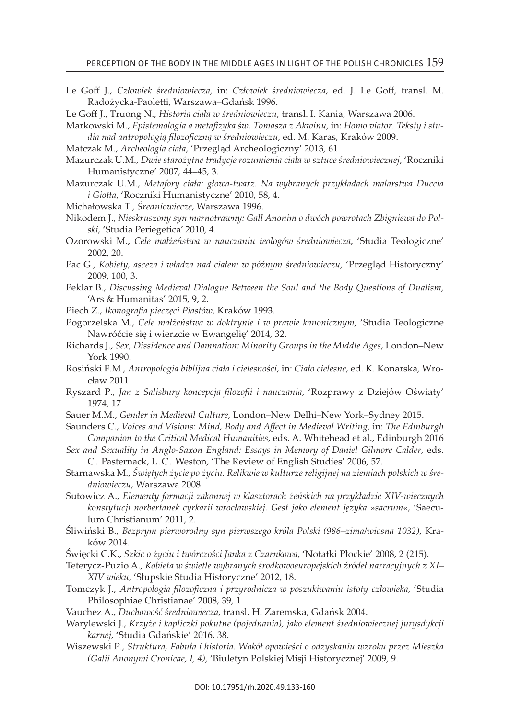Le Goff J., *Człowiek średniowiecza*, in: *Człowiek średniowiecza*, ed. J. Le Goff, transl. M. radożycka-Paoletti, warszawa–Gdańsk 1996.

Le Goff J., truong n., *Historia ciała w średniowieczu*, transl. i. Kania, Warszawa 2006.

- Markowski M., *Epistemologia a metafizyka św. Tomasza z Akwinu*, in: *Homo viator. Teksty i studia nad antropologią filozoficzną w średniowieczu*, ed. M. Karas, Kraków 2009.
- Matczak M., *Archeologia ciała*, 'Przegląd archeologiczny' 2013, 61.
- Mazurczak u.M., *Dwie starożytne tradycje rozumienia ciała w sztuce średniowiecznej*, 'roczniki Humanistyczne' 2007, 44–45, 3.
- Mazurczak u.M., *Metafory ciała: głowa-twarz. Na wybranych przykładach malarstwa Duccia i Giotta, 'Roczniki Humanistyczne' 2010, 58, 4.*
- Michałowska t., *Średniowiecze*, Warszawa 1996.
- nikodem J., *Nieskruszony syn marnotrawny: Gall Anonim o dwóch powrotach Zbigniewa do Polski*, 'studia Periegetica' 2010, 4.
- ozorowski M., *Cele małżeństwa w nauczaniu teologów średniowiecza*, 'studia teologiczne' 2002, 20.
- Pac G., *Kobiety, asceza i władza nad ciałem w późnym średniowieczu*, 'Przegląd Historyczny' 2009, 100, 3.
- Peklar B., *Discussing Medieval Dialogue Between the Soul and the Body Questions of Dualism*, 'Ars & Humanitas' 2015, 9, 2.
- Piech z., *Ikonografia pieczęci Piastów*, Kraków 1993.
- Pogorzelska M., *Cele małżeństwa w doktrynie i w prawie kanonicznym*, 'studia teologiczne Nawróćcie się i wierzcie w Ewangelię' 2014, 32.
- Richards J., *Sex, Dissidence and Damnation: Minority Groups in the Middle Ages*, London–New york 1990.
- rosiński F.M., *Antropologia biblijna ciała i cielesności*, in: *Ciało cielesne*, ed. K. Konarska, Wrocław 2011.
- ryszard P., *Jan z Salisbury koncepcja filozofii i nauczania*, 'rozprawy z Dziejów Oświaty' 1974, 17.
- Sauer M.M., *Gender in Medieval Culture*, London–New Delhi–New York–Sydney 2015.
- saunders c., *Voices and Visions: Mind, Body and Affect in Medieval Writing*, in: *The Edinburgh*  Companion to the Critical Medical Humanities, eds. A. Whitehead et al., Edinburgh 2016
- *Sex and Sexuality in Anglo-Saxon England: Essays in Memory of Daniel Gilmore Calder*, eds. C. Pasternack, L.C. Weston, 'The Review of English Studies' 2006, 57.
- starnawska M., *Świętych życie po życiu. Relikwie w kulturze religijnej na ziemiach polskich w średniowieczu*, Warszawa 2008.
- sutowicz a., *Elementy formacji zakonnej w klasztorach żeńskich na przykładzie XIV-wiecznych konstytucji norbertanek cyrkarii wrocławskiej. Gest jako element języka »sacrum«*, 'saeculum christianum' 2011, 2.
- Śliwiński B., *Bezprym pierworodny syn pierwszego króla Polski (986–zima/wiosna 1032)*, Kraków 2014.
- Święcki C.k., *Szkic o życiu i twórczości Janka z Czarnkowa*, 'notatki Płockie' 2008, 2 (215).
- teterycz-Puzio a., *Kobieta w świetle wybranych środkowoeuropejskich źródeł narracyjnych z XI– XIV wieku*, 'słupskie studia Historyczne' 2012, 18.
- tomczyk J., *Antropologia filozoficzna i przyrodnicza w poszukiwaniu istoty człowieka*, 'studia Philosophiae christianae' 2008, 39, 1.
- Vauchez a., *Duchowość średniowiecza*, transl. H. zaremska, Gdańsk 2004.
- Warylewski J., *Krzyże i kapliczki pokutne (pojednania), jako element średniowiecznej jurysdykcji karnej*, 'studia Gdańskie' 2016, 38.
- Wiszewski P., *Struktura, Fabuła i historia. Wokół opowieści o odzyskaniu wzroku przez Mieszka (Galii Anonymi Cronicae, I, 4)*, 'Biuletyn Polskiej Misji historycznej' 2009, 9.